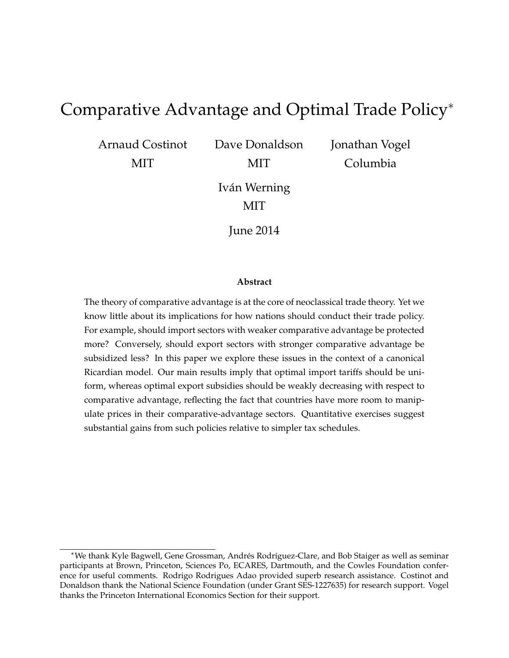# Comparative Advantage and Optimal Trade Policy<sup>∗</sup>

Arnaud Costinot

Dave Donaldson

**MIT** 

MIT

Jonathan Vogel Columbia

Iván Werning MIT

June 2014

#### **Abstract**

The theory of comparative advantage is at the core of neoclassical trade theory. Yet we know little about its implications for how nations should conduct their trade policy. For example, should import sectors with weaker comparative advantage be protected more? Conversely, should export sectors with stronger comparative advantage be subsidized less? In this paper we explore these issues in the context of a canonical Ricardian model. Our main results imply that optimal import tariffs should be uniform, whereas optimal export subsidies should be weakly decreasing with respect to comparative advantage, reflecting the fact that countries have more room to manipulate prices in their comparative-advantage sectors. Quantitative exercises suggest substantial gains from such policies relative to simpler tax schedules.

<sup>∗</sup>We thank Kyle Bagwell, Gene Grossman, Andrés Rodríguez-Clare, and Bob Staiger as well as seminar participants at Brown, Princeton, Sciences Po, ECARES, Dartmouth, and the Cowles Foundation conference for useful comments. Rodrigo Rodrigues Adao provided superb research assistance. Costinot and Donaldson thank the National Science Foundation (under Grant SES-1227635) for research support. Vogel thanks the Princeton International Economics Section for their support.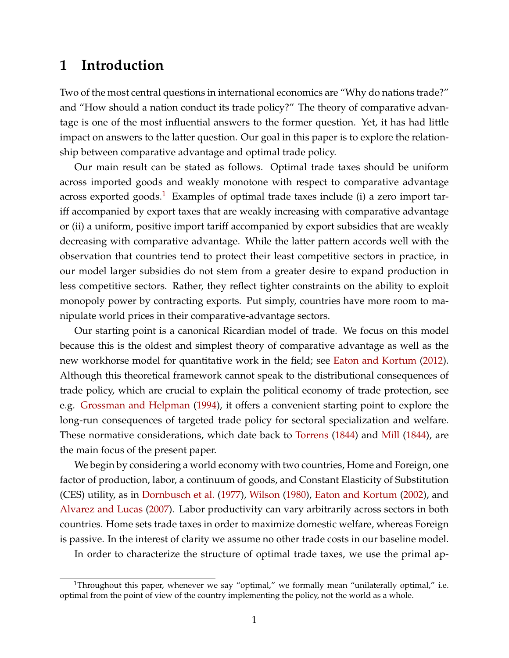### **1 Introduction**

Two of the most central questions in international economics are "Why do nations trade?" and "How should a nation conduct its trade policy?" The theory of comparative advantage is one of the most influential answers to the former question. Yet, it has had little impact on answers to the latter question. Our goal in this paper is to explore the relationship between comparative advantage and optimal trade policy.

Our main result can be stated as follows. Optimal trade taxes should be uniform across imported goods and weakly monotone with respect to comparative advantage across exported goods.<sup>[1](#page-1-0)</sup> Examples of optimal trade taxes include (i) a zero import tariff accompanied by export taxes that are weakly increasing with comparative advantage or (ii) a uniform, positive import tariff accompanied by export subsidies that are weakly decreasing with comparative advantage. While the latter pattern accords well with the observation that countries tend to protect their least competitive sectors in practice, in our model larger subsidies do not stem from a greater desire to expand production in less competitive sectors. Rather, they reflect tighter constraints on the ability to exploit monopoly power by contracting exports. Put simply, countries have more room to manipulate world prices in their comparative-advantage sectors.

Our starting point is a canonical Ricardian model of trade. We focus on this model because this is the oldest and simplest theory of comparative advantage as well as the new workhorse model for quantitative work in the field; see [Eaton and Kortum](#page-39-0) [\(2012\)](#page-39-0). Although this theoretical framework cannot speak to the distributional consequences of trade policy, which are crucial to explain the political economy of trade protection, see e.g. [Grossman and Helpman](#page-40-0) [\(1994\)](#page-40-0), it offers a convenient starting point to explore the long-run consequences of targeted trade policy for sectoral specialization and welfare. These normative considerations, which date back to [Torrens](#page-40-1) [\(1844\)](#page-40-1) and [Mill](#page-40-2) [\(1844\)](#page-40-2), are the main focus of the present paper.

We begin by considering a world economy with two countries, Home and Foreign, one factor of production, labor, a continuum of goods, and Constant Elasticity of Substitution (CES) utility, as in [Dornbusch et al.](#page-39-1) [\(1977\)](#page-39-1), [Wilson](#page-41-0) [\(1980\)](#page-41-0), [Eaton and Kortum](#page-39-2) [\(2002\)](#page-39-2), and [Alvarez and Lucas](#page-38-0) [\(2007\)](#page-38-0). Labor productivity can vary arbitrarily across sectors in both countries. Home sets trade taxes in order to maximize domestic welfare, whereas Foreign is passive. In the interest of clarity we assume no other trade costs in our baseline model.

In order to characterize the structure of optimal trade taxes, we use the primal ap-

<span id="page-1-0"></span><sup>&</sup>lt;sup>1</sup>Throughout this paper, whenever we say "optimal," we formally mean "unilaterally optimal," i.e. optimal from the point of view of the country implementing the policy, not the world as a whole.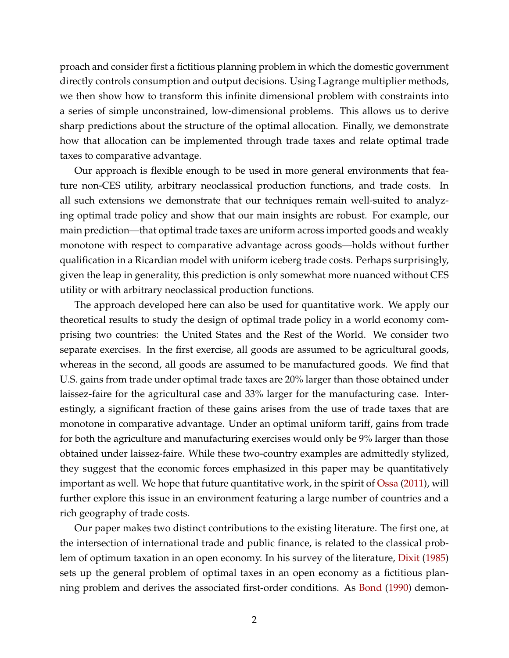proach and consider first a fictitious planning problem in which the domestic government directly controls consumption and output decisions. Using Lagrange multiplier methods, we then show how to transform this infinite dimensional problem with constraints into a series of simple unconstrained, low-dimensional problems. This allows us to derive sharp predictions about the structure of the optimal allocation. Finally, we demonstrate how that allocation can be implemented through trade taxes and relate optimal trade taxes to comparative advantage.

Our approach is flexible enough to be used in more general environments that feature non-CES utility, arbitrary neoclassical production functions, and trade costs. In all such extensions we demonstrate that our techniques remain well-suited to analyzing optimal trade policy and show that our main insights are robust. For example, our main prediction—that optimal trade taxes are uniform across imported goods and weakly monotone with respect to comparative advantage across goods—holds without further qualification in a Ricardian model with uniform iceberg trade costs. Perhaps surprisingly, given the leap in generality, this prediction is only somewhat more nuanced without CES utility or with arbitrary neoclassical production functions.

The approach developed here can also be used for quantitative work. We apply our theoretical results to study the design of optimal trade policy in a world economy comprising two countries: the United States and the Rest of the World. We consider two separate exercises. In the first exercise, all goods are assumed to be agricultural goods, whereas in the second, all goods are assumed to be manufactured goods. We find that U.S. gains from trade under optimal trade taxes are 20% larger than those obtained under laissez-faire for the agricultural case and 33% larger for the manufacturing case. Interestingly, a significant fraction of these gains arises from the use of trade taxes that are monotone in comparative advantage. Under an optimal uniform tariff, gains from trade for both the agriculture and manufacturing exercises would only be 9% larger than those obtained under laissez-faire. While these two-country examples are admittedly stylized, they suggest that the economic forces emphasized in this paper may be quantitatively important as well. We hope that future quantitative work, in the spirit of [Ossa](#page-40-3) [\(2011\)](#page-40-3), will further explore this issue in an environment featuring a large number of countries and a rich geography of trade costs.

Our paper makes two distinct contributions to the existing literature. The first one, at the intersection of international trade and public finance, is related to the classical problem of optimum taxation in an open economy. In his survey of the literature, [Dixit](#page-39-3) [\(1985\)](#page-39-3) sets up the general problem of optimal taxes in an open economy as a fictitious planning problem and derives the associated first-order conditions. As [Bond](#page-38-1) [\(1990\)](#page-38-1) demon-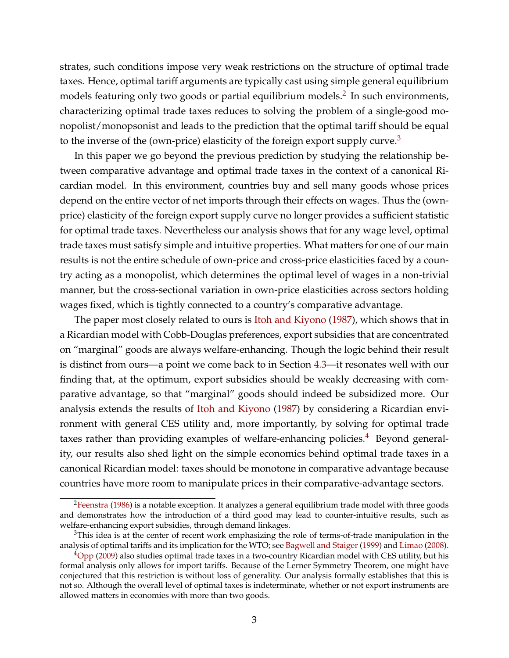strates, such conditions impose very weak restrictions on the structure of optimal trade taxes. Hence, optimal tariff arguments are typically cast using simple general equilibrium models featuring only two goods or partial equilibrium models.<sup>[2](#page-3-0)</sup> In such environments, characterizing optimal trade taxes reduces to solving the problem of a single-good monopolist/monopsonist and leads to the prediction that the optimal tariff should be equal to the inverse of the (own-price) elasticity of the foreign export supply curve.<sup>[3](#page-3-1)</sup>

In this paper we go beyond the previous prediction by studying the relationship between comparative advantage and optimal trade taxes in the context of a canonical Ricardian model. In this environment, countries buy and sell many goods whose prices depend on the entire vector of net imports through their effects on wages. Thus the (ownprice) elasticity of the foreign export supply curve no longer provides a sufficient statistic for optimal trade taxes. Nevertheless our analysis shows that for any wage level, optimal trade taxes must satisfy simple and intuitive properties. What matters for one of our main results is not the entire schedule of own-price and cross-price elasticities faced by a country acting as a monopolist, which determines the optimal level of wages in a non-trivial manner, but the cross-sectional variation in own-price elasticities across sectors holding wages fixed, which is tightly connected to a country's comparative advantage.

The paper most closely related to ours is [Itoh and Kiyono](#page-40-4) [\(1987\)](#page-40-4), which shows that in a Ricardian model with Cobb-Douglas preferences, export subsidies that are concentrated on "marginal" goods are always welfare-enhancing. Though the logic behind their result is distinct from ours—a point we come back to in Section [4.3—](#page-19-0)it resonates well with our finding that, at the optimum, export subsidies should be weakly decreasing with comparative advantage, so that "marginal" goods should indeed be subsidized more. Our analysis extends the results of [Itoh and Kiyono](#page-40-4) [\(1987\)](#page-40-4) by considering a Ricardian environment with general CES utility and, more importantly, by solving for optimal trade taxes rather than providing examples of welfare-enhancing policies. $4$  Beyond generality, our results also shed light on the simple economics behind optimal trade taxes in a canonical Ricardian model: taxes should be monotone in comparative advantage because countries have more room to manipulate prices in their comparative-advantage sectors.

<span id="page-3-0"></span><sup>&</sup>lt;sup>2</sup>[Feenstra](#page-39-4) [\(1986\)](#page-39-4) is a notable exception. It analyzes a general equilibrium trade model with three goods and demonstrates how the introduction of a third good may lead to counter-intuitive results, such as welfare-enhancing export subsidies, through demand linkages.

<span id="page-3-1"></span><sup>&</sup>lt;sup>3</sup>This idea is at the center of recent work emphasizing the role of terms-of-trade manipulation in the analysis of optimal tariffs and its implication for the WTO; see [Bagwell and Staiger](#page-38-2) [\(1999\)](#page-38-2) and [Limao](#page-40-5) [\(2008\)](#page-40-5).

<span id="page-3-2"></span> $^{4}$ [Opp](#page-40-6) [\(2009\)](#page-40-6) also studies optimal trade taxes in a two-country Ricardian model with CES utility, but his formal analysis only allows for import tariffs. Because of the Lerner Symmetry Theorem, one might have conjectured that this restriction is without loss of generality. Our analysis formally establishes that this is not so. Although the overall level of optimal taxes is indeterminate, whether or not export instruments are allowed matters in economies with more than two goods.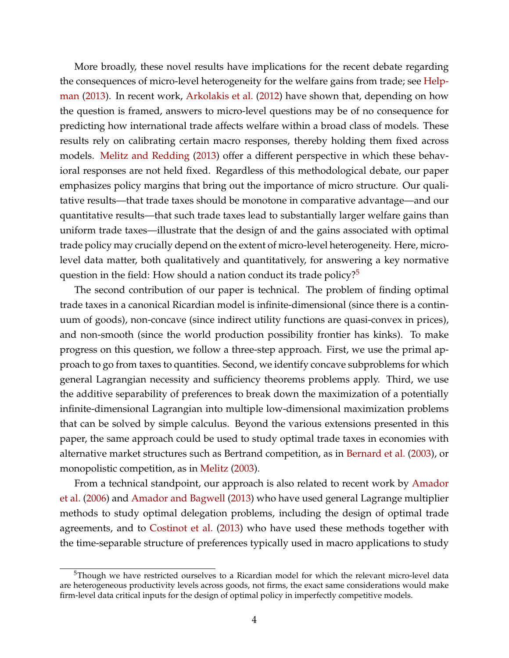More broadly, these novel results have implications for the recent debate regarding the consequences of micro-level heterogeneity for the welfare gains from trade; see [Help](#page-40-7)[man](#page-40-7) [\(2013\)](#page-40-7). In recent work, [Arkolakis et al.](#page-38-3) [\(2012\)](#page-38-3) have shown that, depending on how the question is framed, answers to micro-level questions may be of no consequence for predicting how international trade affects welfare within a broad class of models. These results rely on calibrating certain macro responses, thereby holding them fixed across models. [Melitz and Redding](#page-40-8) [\(2013\)](#page-40-8) offer a different perspective in which these behavioral responses are not held fixed. Regardless of this methodological debate, our paper emphasizes policy margins that bring out the importance of micro structure. Our qualitative results—that trade taxes should be monotone in comparative advantage—and our quantitative results—that such trade taxes lead to substantially larger welfare gains than uniform trade taxes—illustrate that the design of and the gains associated with optimal trade policy may crucially depend on the extent of micro-level heterogeneity. Here, microlevel data matter, both qualitatively and quantitatively, for answering a key normative question in the field: How should a nation conduct its trade policy?<sup>[5](#page-4-0)</sup>

The second contribution of our paper is technical. The problem of finding optimal trade taxes in a canonical Ricardian model is infinite-dimensional (since there is a continuum of goods), non-concave (since indirect utility functions are quasi-convex in prices), and non-smooth (since the world production possibility frontier has kinks). To make progress on this question, we follow a three-step approach. First, we use the primal approach to go from taxes to quantities. Second, we identify concave subproblems for which general Lagrangian necessity and sufficiency theorems problems apply. Third, we use the additive separability of preferences to break down the maximization of a potentially infinite-dimensional Lagrangian into multiple low-dimensional maximization problems that can be solved by simple calculus. Beyond the various extensions presented in this paper, the same approach could be used to study optimal trade taxes in economies with alternative market structures such as Bertrand competition, as in [Bernard et al.](#page-38-4) [\(2003\)](#page-38-4), or monopolistic competition, as in [Melitz](#page-40-9) [\(2003\)](#page-40-9).

From a technical standpoint, our approach is also related to recent work by [Amador](#page-38-5) [et al.](#page-38-5) [\(2006\)](#page-38-5) and [Amador and Bagwell](#page-38-6) [\(2013\)](#page-38-6) who have used general Lagrange multiplier methods to study optimal delegation problems, including the design of optimal trade agreements, and to [Costinot et al.](#page-39-5) [\(2013\)](#page-39-5) who have used these methods together with the time-separable structure of preferences typically used in macro applications to study

<span id="page-4-0"></span><sup>&</sup>lt;sup>5</sup>Though we have restricted ourselves to a Ricardian model for which the relevant micro-level data are heterogeneous productivity levels across goods, not firms, the exact same considerations would make firm-level data critical inputs for the design of optimal policy in imperfectly competitive models.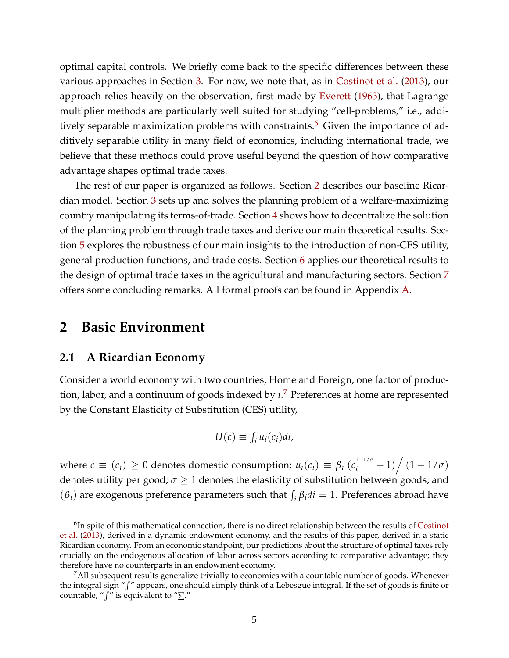optimal capital controls. We briefly come back to the specific differences between these various approaches in Section [3.](#page-8-0) For now, we note that, as in [Costinot et al.](#page-39-5) [\(2013\)](#page-39-5), our approach relies heavily on the observation, first made by [Everett](#page-39-6) [\(1963\)](#page-39-6), that Lagrange multiplier methods are particularly well suited for studying "cell-problems," i.e., addi-tively separable maximization problems with constraints.<sup>[6](#page-5-0)</sup> Given the importance of additively separable utility in many field of economics, including international trade, we believe that these methods could prove useful beyond the question of how comparative advantage shapes optimal trade taxes.

The rest of our paper is organized as follows. Section [2](#page-5-1) describes our baseline Ricardian model. Section [3](#page-8-0) sets up and solves the planning problem of a welfare-maximizing country manipulating its terms-of-trade. Section [4](#page-15-0) shows how to decentralize the solution of the planning problem through trade taxes and derive our main theoretical results. Section [5](#page-21-0) explores the robustness of our main insights to the introduction of non-CES utility, general production functions, and trade costs. Section [6](#page-28-0) applies our theoretical results to the design of optimal trade taxes in the agricultural and manufacturing sectors. Section [7](#page-36-0) offers some concluding remarks. All formal proofs can be found in Appendix [A.](#page-42-0)

### <span id="page-5-1"></span>**2 Basic Environment**

#### <span id="page-5-3"></span>**2.1 A Ricardian Economy**

Consider a world economy with two countries, Home and Foreign, one factor of production, labor, and a continuum of goods indexed by *i*. [7](#page-5-2) Preferences at home are represented by the Constant Elasticity of Substitution (CES) utility,

$$
U(c) \equiv \int_i u_i(c_i)di,
$$

where  $c \equiv (c_i) \geq 0$  denotes domestic consumption;  $u_i(c_i) \equiv \beta_i \ (c_i^{1-1/\sigma} - 1) \Big/ \left(1 - 1/\sigma\right)$ denotes utility per good;  $\sigma \geq 1$  denotes the elasticity of substitution between goods; and  $(\beta_i)$  are exogenous preference parameters such that  $\int_i \beta_i di = 1$ . Preferences abroad have

<span id="page-5-0"></span> ${}^{6}$ In spite of this mathematical connection, there is no direct relationship between the results of [Costinot](#page-39-5) [et al.](#page-39-5) [\(2013\)](#page-39-5), derived in a dynamic endowment economy, and the results of this paper, derived in a static Ricardian economy. From an economic standpoint, our predictions about the structure of optimal taxes rely crucially on the endogenous allocation of labor across sectors according to comparative advantage; they therefore have no counterparts in an endowment economy.

<span id="page-5-2"></span> $<sup>7</sup>$ All subsequent results generalize trivially to economies with a countable number of goods. Whenever</sup> the integral sign " $\int$ " appears, one should simply think of a Lebesgue integral. If the set of goods is finite or countable, " $\int$ " is equivalent to " $\Sigma$ ."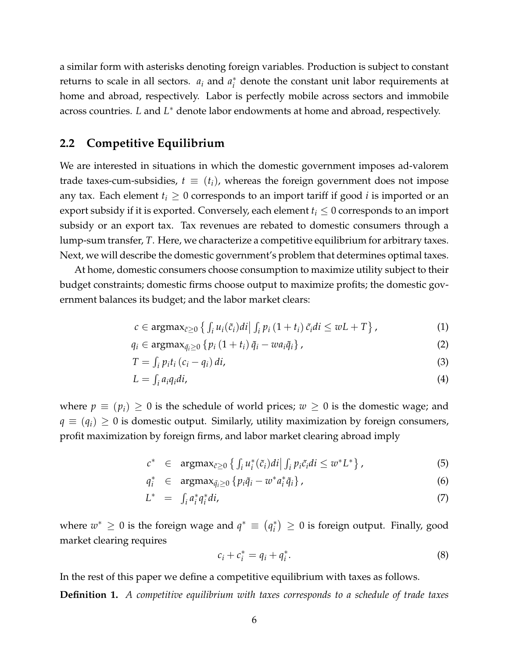a similar form with asterisks denoting foreign variables. Production is subject to constant returns to scale in all sectors.  $a_i$  and  $a_i^*$  denote the constant unit labor requirements at home and abroad, respectively. Labor is perfectly mobile across sectors and immobile across countries. *L* and *L* ∗ denote labor endowments at home and abroad, respectively.

#### <span id="page-6-6"></span>**2.2 Competitive Equilibrium**

We are interested in situations in which the domestic government imposes ad-valorem trade taxes-cum-subsidies,  $t \equiv (t_i)$ , whereas the foreign government does not impose any tax. Each element  $t_i \geq 0$  corresponds to an import tariff if good *i* is imported or an export subsidy if it is exported. Conversely, each element  $t_i \leq 0$  corresponds to an import subsidy or an export tax. Tax revenues are rebated to domestic consumers through a lump-sum transfer, *T*. Here, we characterize a competitive equilibrium for arbitrary taxes. Next, we will describe the domestic government's problem that determines optimal taxes.

At home, domestic consumers choose consumption to maximize utility subject to their budget constraints; domestic firms choose output to maximize profits; the domestic government balances its budget; and the labor market clears:

<span id="page-6-5"></span><span id="page-6-0"></span>
$$
c \in \operatorname{argmax}_{\tilde{c} \geq 0} \left\{ \int_i u_i(\tilde{c}_i) di \middle| \int_i p_i (1+t_i) \, \tilde{c}_i di \leq wL + T \right\},\tag{1}
$$

$$
q_i \in \operatorname{argmax}_{\tilde{q}_i \geq 0} \{ p_i \left( 1 + t_i \right) \tilde{q}_i - w a_i \tilde{q}_i \}, \tag{2}
$$

$$
T = \int_{i} p_{i} t_{i} \left(c_{i} - q_{i}\right) d i, \tag{3}
$$

$$
L = \int_i a_i q_i \, di \tag{4}
$$

where  $p \equiv (p_i) \geq 0$  is the schedule of world prices;  $w \geq 0$  is the domestic wage; and  $q \equiv (q_i) \geq 0$  is domestic output. Similarly, utility maximization by foreign consumers, profit maximization by foreign firms, and labor market clearing abroad imply

<span id="page-6-2"></span>
$$
c^* \in \operatorname{argmax}_{\tilde{c} \geq 0} \left\{ \int_i u_i^*(\tilde{c}_i) di \middle| \int_i p_i \tilde{c}_i di \leq w^* L^* \right\},\tag{5}
$$

$$
q_i^* \in \text{argmax}_{\tilde{q}_i \geq 0} \left\{ p_i \tilde{q}_i - w^* a_i^* \tilde{q}_i \right\},\tag{6}
$$

$$
L^* = \int_i a_i^* q_i^* di,
$$
\n<sup>(7)</sup>

where  $w^* \geq 0$  is the foreign wage and  $q^* \equiv (q_i^*) \geq 0$  is foreign output. Finally, good market clearing requires

<span id="page-6-4"></span><span id="page-6-3"></span><span id="page-6-1"></span>
$$
c_i + c_i^* = q_i + q_i^*.
$$
 (8)

In the rest of this paper we define a competitive equilibrium with taxes as follows.

**Definition 1.** *A competitive equilibrium with taxes corresponds to a schedule of trade taxes*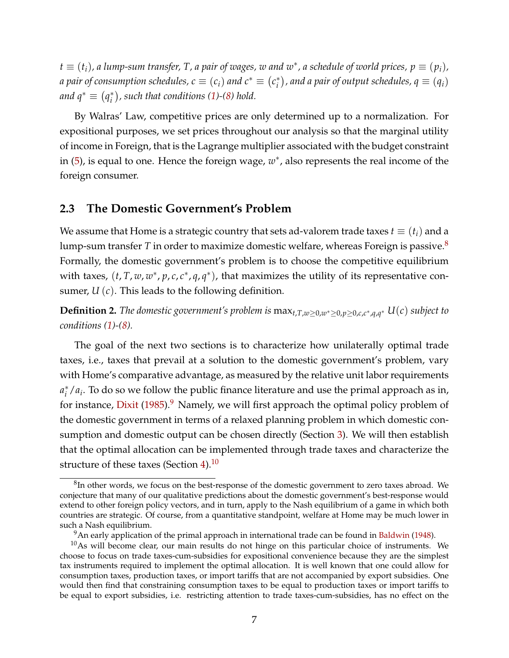$t \equiv (t_i)$ , a lump-sum transfer, T, a pair of wages,  $w$  and  $w^*$ , a schedule of world prices,  $p \equiv (p_i)$ , *a pair of consumption schedules,*  $c \equiv (c_i)$  *and*  $c^* \equiv (c_i^*)$ *, and a pair of output schedules,*  $q \equiv (q_i)$  $and \ q^* \equiv (q_i^*), such that conditions (1)-(8) hold.$  $and \ q^* \equiv (q_i^*), such that conditions (1)-(8) hold.$  $and \ q^* \equiv (q_i^*), such that conditions (1)-(8) hold.$  $and \ q^* \equiv (q_i^*), such that conditions (1)-(8) hold.$  $and \ q^* \equiv (q_i^*), such that conditions (1)-(8) hold.$ 

By Walras' Law, competitive prices are only determined up to a normalization. For expositional purposes, we set prices throughout our analysis so that the marginal utility of income in Foreign, that is the Lagrange multiplier associated with the budget constraint in [\(5\)](#page-6-2), is equal to one. Hence the foreign wage, *w* ∗ , also represents the real income of the foreign consumer.

#### **2.3 The Domestic Government's Problem**

We assume that Home is a strategic country that sets ad-valorem trade taxes  $t \equiv (t_i)$  and a lump-sum transfer *T* in order to maximize domestic welfare, whereas Foreign is passive.<sup>[8](#page-7-0)</sup> Formally, the domestic government's problem is to choose the competitive equilibrium with taxes,  $(t, T, w, w^*, p, c, c^*, q, q^*)$ , that maximizes the utility of its representative consumer, *U* (*c*). This leads to the following definition.

**Definition 2.** *The domestic government's problem is* max*t*,*T*,*w*≥0,*w*∗≥0,*p*≥0,*c*,*<sup>c</sup>* ∗,*q*,*q* <sup>∗</sup> *U*(*c*) *subject to conditions [\(1\)](#page-6-0)-[\(8\)](#page-6-1).*

The goal of the next two sections is to characterize how unilaterally optimal trade taxes, i.e., taxes that prevail at a solution to the domestic government's problem, vary with Home's comparative advantage, as measured by the relative unit labor requirements *a* ∗ *i* /*a<sup>i</sup>* . To do so we follow the public finance literature and use the primal approach as in, for instance, [Dixit](#page-39-3)  $(1985)$ .<sup>[9](#page-7-1)</sup> Namely, we will first approach the optimal policy problem of the domestic government in terms of a relaxed planning problem in which domestic consumption and domestic output can be chosen directly (Section [3\)](#page-8-0). We will then establish that the optimal allocation can be implemented through trade taxes and characterize the structure of these taxes (Section [4\)](#page-15-0).<sup>[10](#page-7-2)</sup>

<span id="page-7-0"></span> ${}^{8}$ In other words, we focus on the best-response of the domestic government to zero taxes abroad. We conjecture that many of our qualitative predictions about the domestic government's best-response would extend to other foreign policy vectors, and in turn, apply to the Nash equilibrium of a game in which both countries are strategic. Of course, from a quantitative standpoint, welfare at Home may be much lower in such a Nash equilibrium.

<span id="page-7-2"></span><span id="page-7-1"></span> $9$ An early application of the primal approach in international trade can be found in [Baldwin](#page-38-7) [\(1948\)](#page-38-7).

 $10$ As will become clear, our main results do not hinge on this particular choice of instruments. We choose to focus on trade taxes-cum-subsidies for expositional convenience because they are the simplest tax instruments required to implement the optimal allocation. It is well known that one could allow for consumption taxes, production taxes, or import tariffs that are not accompanied by export subsidies. One would then find that constraining consumption taxes to be equal to production taxes or import tariffs to be equal to export subsidies, i.e. restricting attention to trade taxes-cum-subsidies, has no effect on the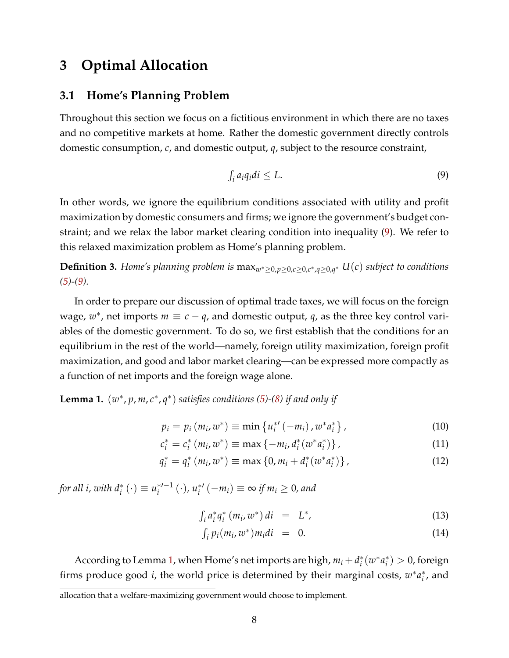## <span id="page-8-0"></span>**3 Optimal Allocation**

#### **3.1 Home's Planning Problem**

Throughout this section we focus on a fictitious environment in which there are no taxes and no competitive markets at home. Rather the domestic government directly controls domestic consumption, *c*, and domestic output, *q*, subject to the resource constraint,

<span id="page-8-1"></span>
$$
\int_i a_i q_i di \le L. \tag{9}
$$

In other words, we ignore the equilibrium conditions associated with utility and profit maximization by domestic consumers and firms; we ignore the government's budget constraint; and we relax the labor market clearing condition into inequality [\(9\)](#page-8-1). We refer to this relaxed maximization problem as Home's planning problem.

**Definition 3.** *Home's planning problem is* max*w*∗≥0,*p*≥0,*c*≥0,*<sup>c</sup>* <sup>∗</sup>,*q*≥0,*q* <sup>∗</sup> *U*(*c*) *subject to conditions [\(5\)](#page-6-2)-[\(9\)](#page-8-1).*

In order to prepare our discussion of optimal trade taxes, we will focus on the foreign wage,  $w^*$ , net imports  $m \equiv c - q$ , and domestic output,  $q$ , as the three key control variables of the domestic government. To do so, we first establish that the conditions for an equilibrium in the rest of the world—namely, foreign utility maximization, foreign profit maximization, and good and labor market clearing—can be expressed more compactly as a function of net imports and the foreign wage alone.

<span id="page-8-2"></span>**Lemma 1.** (*w* ∗ , *p*, *m*, *c* ∗ , *q* ∗ ) *satisfies conditions [\(5\)](#page-6-2)-[\(8\)](#page-6-1) if and only if*

$$
p_i = p_i(m_i, w^*) \equiv \min\{u_i^{*'}(-m_i), w^* a_i^*\},\tag{10}
$$

$$
c_i^* = c_i^* (m_i, w^*) \equiv \max \{-m_i, d_i^* (w^* a_i^*)\}, \qquad (11)
$$

$$
q_i^* = q_i^* (m_i, w^*) \equiv \max \{0, m_i + d_i^* (w^* a_i^*)\}, \qquad (12)
$$

*for all i, with*  $d_i^*$   $(\cdot) \equiv u_i^{*t-1}$   $(\cdot)$ *,*  $u_i^{*t}$   $(-m_i) \equiv \infty$  *if*  $m_i \geq 0$ *, and* 

<span id="page-8-6"></span><span id="page-8-5"></span><span id="page-8-4"></span><span id="page-8-3"></span>
$$
\int_i a_i^* q_i^* \left( m_i, w^* \right) di = L^*, \tag{13}
$$

$$
\int_{i} p_i(m_i, w^*) m_i di = 0. \tag{14}
$$

According to Lemma [1,](#page-8-2) when Home's net imports are high,  $m_i + d_i^*(w^*a_i^*) > 0$ , foreign firms produce good *i*, the world price is determined by their marginal costs,  $w^*a_i^*$ , and

allocation that a welfare-maximizing government would choose to implement.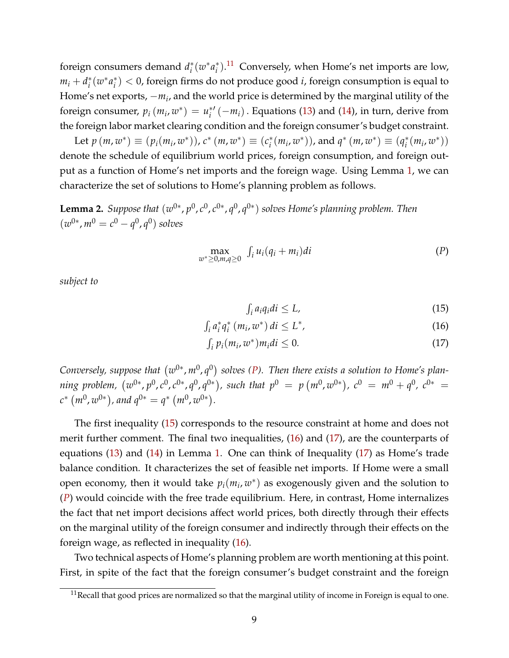foreign consumers demand  $d_i^*(w^*a_i^*)$ .<sup>[11](#page-9-0)</sup> Conversely, when Home's net imports are low,  $m_i + d_i^*(w^*a_i^*) < 0$ , foreign firms do not produce good *i*, foreign consumption is equal to Home's net exports, −*m<sup>i</sup>* , and the world price is determined by the marginal utility of the foreign consumer,  $p_i(m_i, w^*) = u_i^{*\prime}(-m_i)$ . Equations [\(13\)](#page-8-3) and [\(14\)](#page-8-3), in turn, derive from the foreign labor market clearing condition and the foreign consumer's budget constraint.

Let  $p(m, w^*) \equiv (p_i(m_i, w^*)), c^*(m, w^*) \equiv (c_i^*(m_i, w^*)),$  and  $q^*(m, w^*) \equiv (q_i^*(m_i, w^*))$ denote the schedule of equilibrium world prices, foreign consumption, and foreign output as a function of Home's net imports and the foreign wage. Using Lemma [1,](#page-8-2) we can characterize the set of solutions to Home's planning problem as follows.

<span id="page-9-5"></span>**Lemma 2.** Suppose that  $(w^{0*}, p^0, c^0, c^{0*}, q^0, q^{0*})$  solves Home's planning problem. Then  $(w^{0*}, m^0 = c^0 - q^0, q^0)$  solves

<span id="page-9-2"></span>
$$
\max_{w^* \geq 0, m, q \geq 0} \int_i u_i (q_i + m_i) di \tag{P}
$$

*subject to*

<span id="page-9-4"></span><span id="page-9-3"></span><span id="page-9-1"></span>
$$
\int_i a_i q_i \, di \le L,\tag{15}
$$

$$
\int_{i} a_i^* q_i^* \left( m_i, w^* \right) di \le L^*, \tag{16}
$$

$$
\int_{i} p_i(m_i, w^*) m_i di \leq 0. \tag{17}
$$

*Conversely, suppose that*  $(w^{0*}, m^0, q^0)$  solves [\(P\)](#page-9-1). Then there exists a solution to Home's plan $n$ ing problem,  $(w^{0*}, p^{0}, c^{0}, c^{0*}, q^{0}, q^{0*})$ , such that  $p^{0} = p (m^{0}, w^{0*})$ ,  $c^{0} = m^{0} + q^{0}$ ,  $c^{0*} =$  $c^*$   $(m^0, w^{0*})$ , and  $q^{0*} = q^*$   $(m^0, w^{0*})$ .

The first inequality [\(15\)](#page-9-2) corresponds to the resource constraint at home and does not merit further comment. The final two inequalities, [\(16\)](#page-9-3) and [\(17\)](#page-9-4), are the counterparts of equations [\(13\)](#page-8-3) and [\(14\)](#page-8-3) in Lemma [1.](#page-8-2) One can think of Inequality [\(17\)](#page-9-4) as Home's trade balance condition. It characterizes the set of feasible net imports. If Home were a small open economy, then it would take  $p_i(m_i, w^*)$  as exogenously given and the solution to (*[P](#page-9-1)*) would coincide with the free trade equilibrium. Here, in contrast, Home internalizes the fact that net import decisions affect world prices, both directly through their effects on the marginal utility of the foreign consumer and indirectly through their effects on the foreign wage, as reflected in inequality [\(16\)](#page-9-3).

Two technical aspects of Home's planning problem are worth mentioning at this point. First, in spite of the fact that the foreign consumer's budget constraint and the foreign

<span id="page-9-0"></span> $11$ Recall that good prices are normalized so that the marginal utility of income in Foreign is equal to one.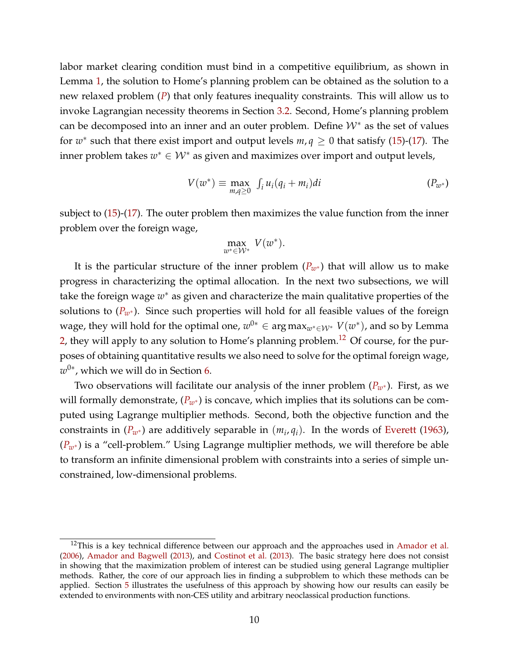labor market clearing condition must bind in a competitive equilibrium, as shown in Lemma [1,](#page-8-2) the solution to Home's planning problem can be obtained as the solution to a new relaxed problem (*[P](#page-9-1)*) that only features inequality constraints. This will allow us to invoke Lagrangian necessity theorems in Section [3.2.](#page-11-0) Second, Home's planning problem can be decomposed into an inner and an outer problem. Define  $W^*$  as the set of values for  $w^*$  such that there exist import and output levels  $m, q \geq 0$  that satisfy [\(15\)](#page-9-2)-[\(17\)](#page-9-4). The inner problem takes  $w^* \in \mathcal{W}^*$  as given and maximizes over import and output levels,

<span id="page-10-2"></span>
$$
V(w^*) \equiv \max_{m,q \geq 0} \int_i u_i (q_i + m_i) di \qquad (P_{w^*})
$$

subject to [\(15\)](#page-9-2)-[\(17\)](#page-9-4). The outer problem then maximizes the value function from the inner problem over the foreign wage,

<span id="page-10-0"></span>
$$
\max_{w^*\in\mathcal{W}^*} V(w^*).
$$

It is the particular structure of the inner problem  $(P_{w^*})$  $(P_{w^*})$  $(P_{w^*})$  that will allow us to make progress in characterizing the optimal allocation. In the next two subsections, we will take the foreign wage *w* ∗ as given and characterize the main qualitative properties of the solutions to  $(P_{w^*})$  $(P_{w^*})$  $(P_{w^*})$ . Since such properties will hold for all feasible values of the foreign wage, they will hold for the optimal one,  $w^{0*} \in \argmax_{w^* \in \mathcal{W}^*} V(w^*)$ , and so by Lemma [2,](#page-9-5) they will apply to any solution to Home's planning problem.<sup>[12](#page-10-1)</sup> Of course, for the purposes of obtaining quantitative results we also need to solve for the optimal foreign wage, *w* 0∗ , which we will do in Section [6.](#page-28-0)

Two observations will facilitate our analysis of the inner problem  $(P_{w^*})$  $(P_{w^*})$  $(P_{w^*})$ . First, as we will formally demonstrate,  $(P_{w^*})$  $(P_{w^*})$  $(P_{w^*})$  is concave, which implies that its solutions can be computed using Lagrange multiplier methods. Second, both the objective function and the constraints in  $(P_{w^*})$  $(P_{w^*})$  $(P_{w^*})$  are additively separable in  $(m_i, q_i)$ . In the words of [Everett](#page-39-6) [\(1963\)](#page-39-6), (*[P](#page-10-0)w*<sup>∗</sup> ) is a "cell-problem." Using Lagrange multiplier methods, we will therefore be able to transform an infinite dimensional problem with constraints into a series of simple unconstrained, low-dimensional problems.

<span id="page-10-1"></span> $12$ This is a key technical difference between our approach and the approaches used in [Amador et al.](#page-38-5) [\(2006\)](#page-38-5), [Amador and Bagwell](#page-38-6) [\(2013\)](#page-38-6), and [Costinot et al.](#page-39-5) [\(2013\)](#page-39-5). The basic strategy here does not consist in showing that the maximization problem of interest can be studied using general Lagrange multiplier methods. Rather, the core of our approach lies in finding a subproblem to which these methods can be applied. Section [5](#page-21-0) illustrates the usefulness of this approach by showing how our results can easily be extended to environments with non-CES utility and arbitrary neoclassical production functions.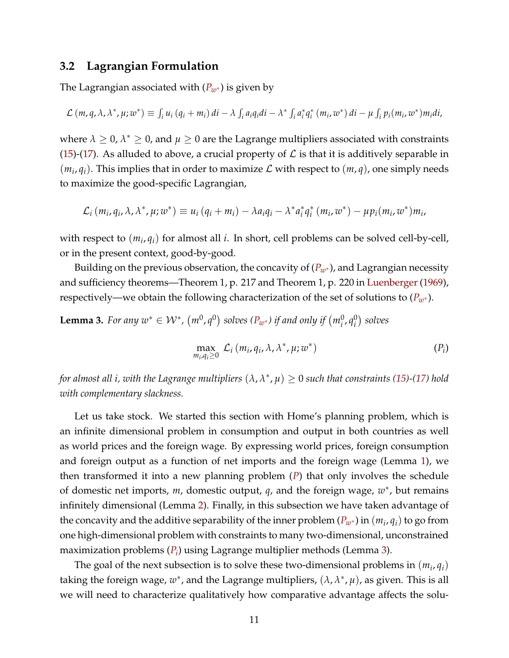#### <span id="page-11-0"></span>**3.2 Lagrangian Formulation**

The Lagrangian associated with  $(P_{w^*})$  $(P_{w^*})$  $(P_{w^*})$  is given by

$$
\mathcal{L}(m,q,\lambda,\lambda^*,\mu;w^*)\equiv \int_i u_i (q_i+m_i) \, di-\lambda \int_i a_i q_i \, di-\lambda^* \int_i a_i^* q_i^* (m_i,w^*) \, di-\mu \int_i p_i (m_i,w^*) m_i \, di,
$$

where  $\lambda \geq 0$ ,  $\lambda^* \geq 0$ , and  $\mu \geq 0$  are the Lagrange multipliers associated with constraints [\(15\)](#page-9-2)-[\(17\)](#page-9-4). As alluded to above, a crucial property of  $\mathcal L$  is that it is additively separable in  $(m_i, q_i)$ . This implies that in order to maximize  $\mathcal L$  with respect to  $(m, q)$ , one simply needs to maximize the good-specific Lagrangian,

$$
\mathcal{L}_i(m_i,q_i,\lambda,\lambda^*,\mu;w^*)\equiv u_i(q_i+m_i)-\lambda a_iq_i-\lambda^*a_i^*q_i^*(m_i,w^*)-\mu p_i(m_i,w^*)m_i,
$$

with respect to  $(m_i, q_i)$  for almost all *i*. In short, cell problems can be solved cell-by-cell, or in the present context, good-by-good.

Building on the previous observation, the concavity of (*[P](#page-10-0)w*<sup>∗</sup> ), and Lagrangian necessity and sufficiency theorems—Theorem 1, p. 217 and Theorem 1, p. 220 in [Luenberger](#page-40-10) [\(1969\)](#page-40-10), respectively—we obtain the following characterization of the set of solutions to  $(P_{w^*})$  $(P_{w^*})$  $(P_{w^*})$ .

<span id="page-11-2"></span>**Lemma 3.** For any  $w^* \in W^*$ ,  $(m^0, q^0)$  solves  $(P_{w^*})$  $(P_{w^*})$  if and only if  $(m_i^0, q_i^0)$ *i solves*

<span id="page-11-1"></span>
$$
\max_{m_i, q_i \geq 0} \mathcal{L}_i \left( m_i, q_i, \lambda, \lambda^*, \mu; w^* \right) \tag{P_i}
$$

 $f$  *or almost all i, with the Lagrange multipliers*  $(\lambda, \lambda^*, \mu) \geq 0$  *such that constraints [\(15\)](#page-9-2)-[\(17\)](#page-9-4) hold with complementary slackness.*

Let us take stock. We started this section with Home's planning problem, which is an infinite dimensional problem in consumption and output in both countries as well as world prices and the foreign wage. By expressing world prices, foreign consumption and foreign output as a function of net imports and the foreign wage (Lemma [1\)](#page-8-2), we then transformed it into a new planning problem (*[P](#page-9-1)*) that only involves the schedule of domestic net imports, *m*, domestic output, *q*, and the foreign wage, *w* ∗ , but remains infinitely dimensional (Lemma [2\)](#page-9-5). Finally, in this subsection we have taken advantage of the concavity and the additive separability of the inner problem  $(P_{w^*})$  $(P_{w^*})$  $(P_{w^*})$  in  $(m_i,q_i)$  to go from one high-dimensional problem with constraints to many two-dimensional, unconstrained maximization problems (*[P](#page-11-1)<sup>i</sup>* ) using Lagrange multiplier methods (Lemma [3\)](#page-11-2).

The goal of the next subsection is to solve these two-dimensional problems in  $(m_i, q_i)$ taking the foreign wage*,*  $w^*$ *,* and the Lagrange multipliers,  $(\lambda, \lambda^*, \mu)$ , as given. This is all we will need to characterize qualitatively how comparative advantage affects the solu-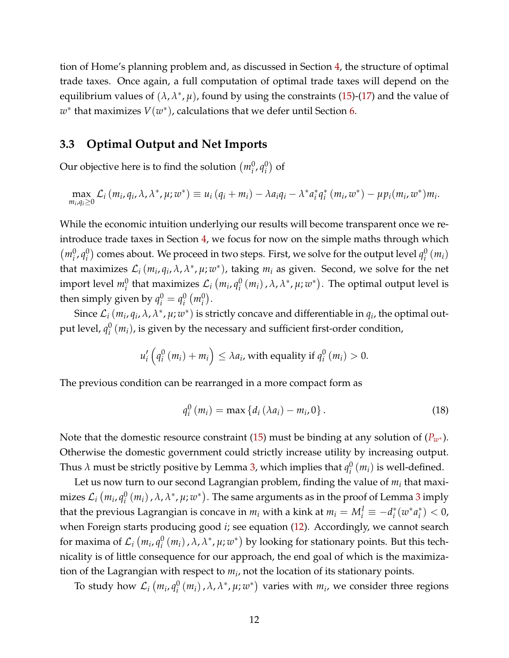tion of Home's planning problem and, as discussed in Section [4,](#page-15-0) the structure of optimal trade taxes. Once again, a full computation of optimal trade taxes will depend on the equilibrium values of  $(\lambda, \lambda^*, \mu)$ , found by using the constraints [\(15\)](#page-9-2)-[\(17\)](#page-9-4) and the value of  $w^*$  that maximizes  $V(w^*)$ , calculations that we defer until Section [6.](#page-28-0)

#### <span id="page-12-0"></span>**3.3 Optimal Output and Net Imports**

Our objective here is to find the solution  $(m_i^0, q_i^0)$  $i$ <sup>0</sup>) of

$$
\max_{m_i,q_i\geq 0} \mathcal{L}_i(m_i,q_i,\lambda,\lambda^*,\mu;w^*) \equiv u_i(q_i+m_i) - \lambda a_i q_i - \lambda^* a_i^* q_i^* (m_i,w^*) - \mu p_i(m_i,w^*) m_i.
$$

While the economic intuition underlying our results will become transparent once we reintroduce trade taxes in Section [4,](#page-15-0) we focus for now on the simple maths through which  $(m_i^0, q_i^0)$  $\sigma_i^{(0)}$  comes about. We proceed in two steps. First, we solve for the output level  $q_i^{(0)}$  $\binom{0}{i}(m_i)$ that maximizes  $\mathcal{L}_i$   $(m_i, q_i, \lambda, \lambda^*, \mu; w^*)$ , taking  $m_i$  as given. Second, we solve for the net import level  $m_i^0$  that maximizes  $\mathcal{L}_i$   $\left(m_i, q_i^0\right)$  $\int_i^0 (m_i)$  ,  $\lambda$ ,  $\lambda^*$ ,  $\mu$ ;  $w^*$ ). The optimal output level is then simply given by  $q_i^0 = q_i^0$  $\binom{0}{i}$   $(m_i^0)$ .

Since  $\mathcal{L}_i$   $(m_i, q_i, \lambda, \lambda^*, \mu; w^*)$  is strictly concave and differentiable in  $q_i$ , the optimal output level,  $q_i^0$  $\binom{0}{i}(m_i)$ , is given by the necessary and sufficient first-order condition,

$$
u'_{i}\left(q_{i}^{0}\left(m_{i}\right)+m_{i}\right) \leq \lambda a_{i}, \text{ with equality if } q_{i}^{0}\left(m_{i}\right) > 0.
$$

The previous condition can be rearranged in a more compact form as

$$
q_i^0(m_i) = \max\left\{d_i\left(\lambda a_i\right) - m_i, 0\right\}.
$$
 (18)

Note that the domestic resource constraint [\(15\)](#page-9-2) must be binding at any solution of  $(P_{w^*})$  $(P_{w^*})$  $(P_{w^*})$ . Otherwise the domestic government could strictly increase utility by increasing output. Thus  $\lambda$  must be strictly positive by Lemma [3,](#page-11-2) which implies that  $q_i^0$  $\binom{0}{i}$  ( $m_i$ ) is well-defined.

Let us now turn to our second Lagrangian problem, finding the value of *m<sup>i</sup>* that maximizes  $\mathcal{L}_i$   $\left(m_i, q_i^0\right)$  $\int_{i}^{0}(m_{i})$  ,  $\lambda$ ,  $\lambda^{*}$ ,  $\mu$ ;  $w^{*}$ ). The same arguments as in the proof of Lemma [3](#page-11-2) imply that the previous Lagrangian is concave in  $m_i$  with a kink at  $m_i = M_i^I \equiv -d_i^*(w^*a_i^*) < 0$ , when Foreign starts producing good *i*; see equation [\(12\)](#page-8-4). Accordingly, we cannot search for maxima of  $\mathcal{L}_i$   $\left(m_i, q_i^0\right)$  $\int_{i}^{0}(m_{i})$  ,  $\lambda$ ,  $\lambda^{*}$ ,  $\mu$ ;  $w^{*}$ ) by looking for stationary points. But this technicality is of little consequence for our approach, the end goal of which is the maximization of the Lagrangian with respect to *m<sup>i</sup>* , not the location of its stationary points.

To study how  $\mathcal{L}_i$   $\left(m_i, q_i^0\right)$  $\int_{i}^{0}$   $(m_{i})$  ,  $\lambda$ ,  $\lambda^{*}$ ,  $\mu$ ;  $w^{*}$ ) varies with  $m_{i}$ , we consider three regions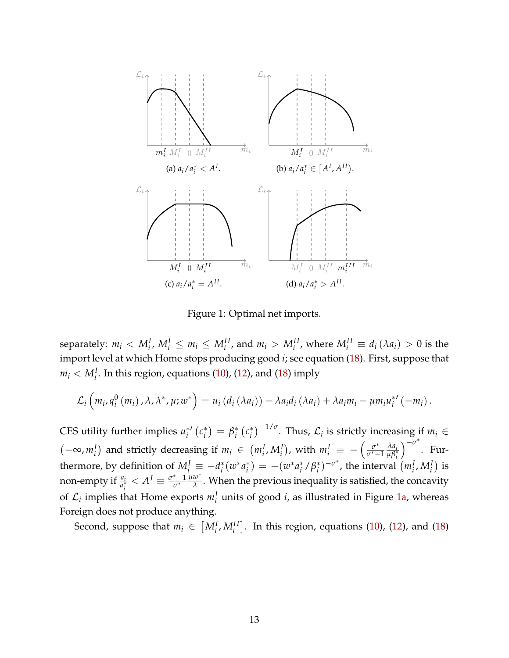<span id="page-13-2"></span><span id="page-13-1"></span><span id="page-13-0"></span>

<span id="page-13-3"></span>Figure 1: Optimal net imports.

separately:  $m_i < M_i^I$ ,  $M_i^I \leq m_i \leq M_i^{II}$ , and  $m_i > M_i^{II}$ , where  $M_i^{II} \equiv d_i(\lambda a_i) > 0$  is the import level at which Home stops producing good *i*; see equation [\(18\)](#page-10-2). First, suppose that  $m_i < M_i^I$ . In this region, equations [\(10\)](#page-8-5), [\(12\)](#page-8-4), and [\(18\)](#page-10-2) imply

$$
\mathcal{L}_i\left(m_i, q_i^0(m_i), \lambda, \lambda^*, \mu; w^*\right) = u_i\left(d_i\left(\lambda a_i\right)\right) - \lambda a_i d_i\left(\lambda a_i\right) + \lambda a_i m_i - \mu m_i u_i^{*'}\left(-m_i\right).
$$

CES utility further implies  $u_i^{*'}(c_i^*) = \beta_i^*(c_i^*)^{-1/\sigma}$ . Thus,  $\mathcal{L}_i$  is strictly increasing if  $m_i \in$  $(-\infty, m_i^I)$  and strictly decreasing if  $m_i \in (m_i^I, M_i^I)$ , with  $m_i^I \equiv -\left(\frac{\sigma^*}{\sigma^* - 1}\right)$ *σ* <sup>∗</sup>−1 *λa<sup>i</sup> µβ*∗ *i* −*<sup>σ</sup>* ∗ . Furthermore, by definition of  $M^I_i \equiv -d^*_i(w^*a^*_i) = -(w^*a^*_i/\beta^*_i)^{-\sigma^*}$ , the interval  $\left(m^I_i,M^I_i\right)$  is non-empty if  $\frac{a_i}{a_i^*} < A^I \equiv \frac{\sigma^* - 1}{\sigma^*}$ *µw* ∗  $\frac{w}{\lambda}$ . When the previous inequality is satisfied, the concavity of  $\mathcal{L}_i$  implies that Home exports  $m_i^I$  units of good *i*, as illustrated in Figure [1a,](#page-13-0) whereas Foreign does not produce anything.

Second, suppose that  $m_i \in [M_i^I, M_i^{II}]$ . In this region, equations [\(10\)](#page-8-5), [\(12\)](#page-8-4), and [\(18\)](#page-10-2)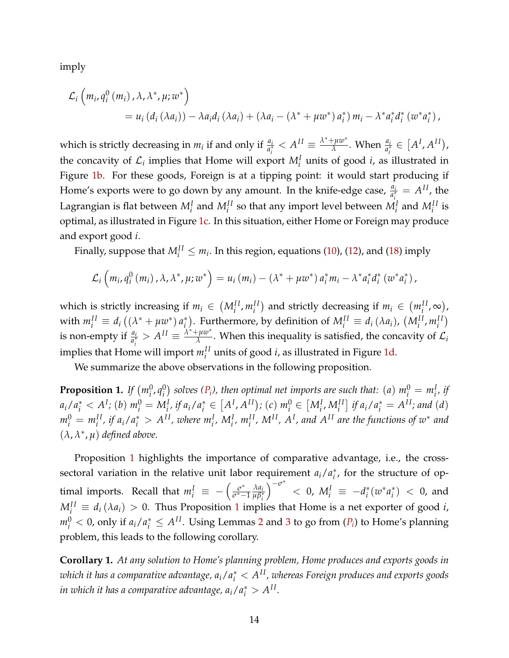imply

$$
\mathcal{L}_{i}\left(m_{i}, q_{i}^{0}(m_{i}), \lambda, \lambda^{*}, \mu; w^{*}\right) = u_{i}\left(d_{i}\left(\lambda a_{i}\right)\right) - \lambda a_{i}d_{i}\left(\lambda a_{i}\right) + \left(\lambda a_{i} - \left(\lambda^{*} + \mu w^{*}\right)a_{i}^{*}\right)m_{i} - \lambda^{*}a_{i}^{*}d_{i}^{*}\left(w^{*}a_{i}^{*}\right),
$$

which is strictly decreasing in  $m_i$  if and only if  $\frac{a_i}{a_i^*} < A^{II} \equiv \frac{\lambda^* + \mu w^*}{\lambda}$  $\frac{a_i}{\lambda}$ . When  $\frac{a_i}{a_i^*} \in [A^I, A^{II})$ , the concavity of  $\mathcal{L}_i$  implies that Home will export  $M_i^I$  units of good *i*, as illustrated in Figure [1b.](#page-13-1) For these goods, Foreign is at a tipping point: it would start producing if Home's exports were to go down by any amount. In the knife-edge case,  $\frac{a_i}{a_i^*} = A^{II}$ , the Lagrangian is flat between  $M_i^I$  and  $M_i^{II}$  so that any import level between  $M_i^I$  and  $M_i^{II}$  is optimal, as illustrated in Figure [1c.](#page-13-2) In this situation, either Home or Foreign may produce and export good *i*.

Finally, suppose that  $M_i^{II} \leq m_i$ . In this region, equations [\(10\)](#page-8-5), [\(12\)](#page-8-4), and [\(18\)](#page-10-2) imply

$$
\mathcal{L}_i\left(m_i, q_i^0(m_i), \lambda, \lambda^*, \mu; w^*\right) = u_i(m_i) - \left(\lambda^* + \mu w^*\right)a_i^*m_i - \lambda^* a_i^*d_i^* \left(w^*a_i^*\right),
$$

which is strictly increasing if  $m_i \in (M_i^{II}, m_i^{II})$  and strictly decreasing if  $m_i \in (m_i^{II}, \infty)$ , with  $m_i^{II} \equiv d_i \left( (\lambda^* + \mu w^*) a_i^* \right)$ . Furthermore, by definition of  $M_i^{II} \equiv d_i \left( \lambda a_i \right)$ ,  $\left( M_i^{II}, m_i^{II} \right)$ is non-empty if  $\frac{a_i}{a_i^*} > A^{II} \equiv \frac{\lambda^* + \mu w^*}{\lambda}$  $\frac{\mu w}{\lambda}$ . When this inequality is satisfied, the concavity of  $\mathcal{L}_i$ implies that Home will import  $m_i^{II}$  units of good *i*, as illustrated in Figure [1d.](#page-13-3)

We summarize the above observations in the following proposition.

<span id="page-14-0"></span>**Proposition 1.** *If*  $(m_i^0, q_i^0)$  $\binom{0}{i}$  solves [\(P](#page-11-1)<sub>i</sub>), then optimal net imports are such that: (a)  $m_i^0 = m_i^I$ , if  $a_i/a_i^* < A^I$ ; (b)  $m_i^0 = M_i^I$ , if  $a_i/a_i^* \in [A^I, A^{II})$ ; (c)  $m_i^0 \in [M_i^I, M_i^{II}]$  if  $a_i/a_i^* = A^{II}$ ; and (d)  $m_i^0 = m_i^{II}$ , if  $a_i/a_i^* > A^{II}$ , where  $m_i^I$ ,  $M_i^I$ ,  $m_i^{II}$ ,  $M^{II}$ ,  $A^I$ , and  $A^{II}$  are the functions of  $w^*$  and  $(\lambda, \lambda^*, \mu)$  *defined above.* 

Proposition [1](#page-14-0) highlights the importance of comparative advantage, i.e., the crosssectoral variation in the relative unit labor requirement  $a_i/a_i^*$ , for the structure of optimal imports. Recall that  $m_i^I \equiv -\left(\frac{\sigma^*}{\sigma^*-\sigma^*}\right)$ *σ* <sup>∗</sup>−1 *λa<sup>i</sup> µβ*∗ *i*  $\int^{ - \sigma^{*}}$  < 0*, M*<sup>*I*</sup></sup> ≡ −*d*<sup>\*</sup><sub>*i*</sub></sub>( $w^{*}a^{*}_{i}$ ) < 0*,* and  $M_i^{II} \equiv d_i (\lambda a_i) > 0$ . Thus Proposition [1](#page-14-0) implies that Home is a net exporter of good *i*,  $m_i^0 < 0$ , only if  $a_i/a_i^* \leq A^{II}$ . Using Lemmas [2](#page-9-5) and [3](#page-11-2) to go from  $(P_i)$  $(P_i)$  $(P_i)$  to Home's planning problem, this leads to the following corollary.

<span id="page-14-1"></span>**Corollary 1.** *At any solution to Home's planning problem, Home produces and exports goods in*  $i$  *which it has a comparative advantage, a* $_i/a_i^* < A^{II}$ *, whereas Foreign produces and exports goods* in which it has a comparative advantage,  $a_i/a_i^* > A^{II}$ .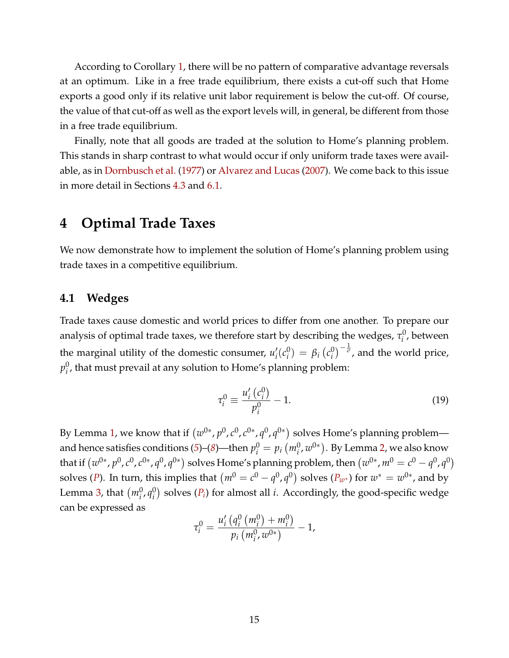According to Corollary [1,](#page-14-1) there will be no pattern of comparative advantage reversals at an optimum. Like in a free trade equilibrium, there exists a cut-off such that Home exports a good only if its relative unit labor requirement is below the cut-off. Of course, the value of that cut-off as well as the export levels will, in general, be different from those in a free trade equilibrium.

Finally, note that all goods are traded at the solution to Home's planning problem. This stands in sharp contrast to what would occur if only uniform trade taxes were available, as in [Dornbusch et al.](#page-39-1) [\(1977\)](#page-39-1) or [Alvarez and Lucas](#page-38-0) [\(2007\)](#page-38-0). We come back to this issue in more detail in Sections [4.3](#page-19-0) and [6.1.](#page-29-0)

### <span id="page-15-0"></span>**4 Optimal Trade Taxes**

We now demonstrate how to implement the solution of Home's planning problem using trade taxes in a competitive equilibrium.

#### <span id="page-15-2"></span>**4.1 Wedges**

Trade taxes cause domestic and world prices to differ from one another. To prepare our analysis of optimal trade taxes, we therefore start by describing the wedges,  $\tau_i^0$ *i* , between the marginal utility of the domestic consumer,  $u'_i(c_i)$  $\beta_i^0$ ) = β*i*( $c_i^0$  $\binom{0}{i}^{-\frac{1}{\sigma}}$ , and the world price, *p* 0  $\mu_i^0$ , that must prevail at any solution to Home's planning problem:

<span id="page-15-1"></span>
$$
\tau_i^0 \equiv \frac{u_i'(c_i^0)}{p_i^0} - 1.
$$
\n(19)

By Lemma [1,](#page-8-2) we know that if  $(w^{0*}, p^0, c^0, c^{0*}, q^0, q^{0*})$  solves Home's planning problem— and hence satisfies conditions ([5](#page-6-2))–([8](#page-6-1))—then  $p_i^0 = p_i\left(m_i^0, w^{0*}\right)$ . By Lemma [2,](#page-9-5) we also know that if  $(w^{0*}, p^{0}, c^{0}, c^{0*}, q^{0}, q^{0*})$  solves Home's planning problem, then  $(w^{0*}, m^{0} = c^{0} - q^{0}, q^{0})$ solves (*[P](#page-10-0)*). In turn, this implies that  $(m^0 = c^0 - q^0, q^0)$  solves  $(P_{w^*})$  for  $w^* = w^{0*}$ , and by Lemma [3,](#page-11-2) that  $\left(m_i^0, q_i^0\right)$  $\binom{0}{i}$  solves  $(P_i)$  $(P_i)$  $(P_i)$  for almost all *i*. Accordingly, the good-specific wedge can be expressed as

$$
\tau_i^0 = \frac{u'_i \left( q_i^0 \left( m_i^0 \right) + m_i^0 \right)}{p_i \left( m_i^0, w^{0*} \right)} - 1,
$$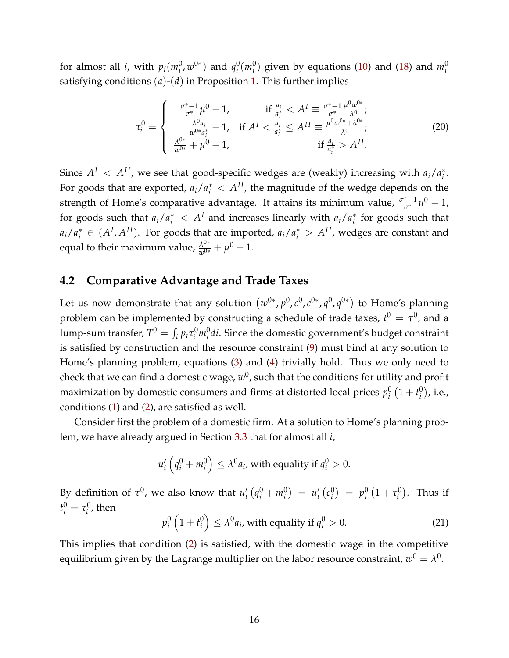for almost all *i*, with  $p_i(m_i^0, w^{0*})$  and  $q_i^0$  $\int_{i}^{0}(m_{i}^{0})$  given by equations [\(10\)](#page-8-5) and [\(18\)](#page-10-2) and  $m_{i}^{0}$ satisfying conditions  $(a)-(d)$  in Proposition [1.](#page-14-0) This further implies

<span id="page-16-1"></span>
$$
\tau_i^0 = \begin{cases}\n\frac{\sigma^* - 1}{\sigma^*} \mu^0 - 1, & \text{if } \frac{a_i}{a_i^*} < A^I \equiv \frac{\sigma^* - 1}{\sigma^*} \frac{\mu^0 w^{0*}}{\lambda^0}; \\
\frac{\lambda^0 a_i}{w^{0*} a_i^*} - 1, & \text{if } A^I < \frac{a_i}{a_i^*} \le A^{II} \equiv \frac{\mu^0 w^{0*} + \lambda^{0*}}{\lambda^0}; \\
\frac{\lambda^{0*}}{w^{0*}} + \mu^0 - 1, & \text{if } \frac{a_i}{a_i^*} > A^{II}.\n\end{cases} \tag{20}
$$

Since  $A^I \, \langle A^{II}, \rangle$  we see that good-specific wedges are (weakly) increasing with  $a_i/a_i^*$ . For goods that are exported,  $a_i/a_i^* < A^{II}$ , the magnitude of the wedge depends on the strength of Home's comparative advantage. It attains its minimum value,  $\frac{\sigma^* - 1}{\sigma^*} \mu^0 - 1$ , for goods such that  $a_i/a_i^* < A^I$  and increases linearly with  $a_i/a_i^*$  for goods such that  $a_i/a_i^* \in (A^I, A^{II})$ . For goods that are imported,  $a_i/a_i^* > A^{II}$ , wedges are constant and equal to their maximum value,  $\frac{\lambda^{0*}}{w^{0*}} + \mu^0 - 1$ .

#### <span id="page-16-2"></span>**4.2 Comparative Advantage and Trade Taxes**

Let us now demonstrate that any solution  $(w^{0*}, p^{0}, c^{0}, c^{0*}, q^{0}, q^{0*})$  to Home's planning problem can be implemented by constructing a schedule of trade taxes,  $t^0 = \tau^0$ , and a lump-sum transfer,  $T^0 = \int_i p_i \tau_i^0 m_i^0 dt$ . Since the domestic government's budget constraint is satisfied by construction and the resource constraint [\(9\)](#page-8-1) must bind at any solution to Home's planning problem, equations [\(3\)](#page-6-3) and [\(4\)](#page-6-4) trivially hold. Thus we only need to check that we can find a domestic wage, *w* 0 , such that the conditions for utility and profit maximization by domestic consumers and firms at distorted local prices  $p_i^0$  $\binom{0}{i}$  (1 +  $t_i^0$  $_{i}^{0}$ ), i.e., conditions [\(1\)](#page-6-0) and [\(2\)](#page-6-5), are satisfied as well.

Consider first the problem of a domestic firm. At a solution to Home's planning problem, we have already argued in Section [3.3](#page-12-0) that for almost all *i*,

$$
u_i'\left(q_i^0 + m_i^0\right) \leq \lambda^0 a_i
$$
, with equality if  $q_i^0 > 0$ .

By definition of  $\tau^0$ , we also know that  $u'_i (q_i^0 + m_i^0) = u'_i (c_i^0)$  $\binom{0}{i} = p_i^0$  $\int_{i}^{0}\left(1+\tau_{i}^{0}\right)$  $\binom{0}{i}$ . Thus if  $t_i^0 = \tau_i^0$  $t_i^0$ , then

<span id="page-16-0"></span> $p_i^0$  $\int_{i}^{0} (1+t_i^0)$  $\left(\begin{array}{c} 0 \\ i \end{array}\right) \leq \lambda^0 a_i$ , with equality if  $q_i^0 > 0$ . (21)

This implies that condition [\(2\)](#page-6-5) is satisfied, with the domestic wage in the competitive equilibrium given by the Lagrange multiplier on the labor resource constraint*,*  $w^0=\lambda^0.$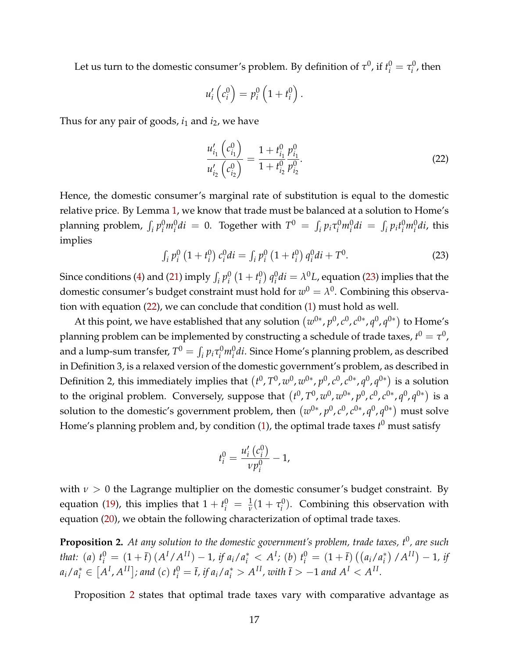Let us turn to the domestic consumer's problem. By definition of  $\tau^0$ , if  $t_i^0 = \tau_i^0$  $i^0$ , then

$$
u'_{i}\left(c_{i}^{0}\right)=p_{i}^{0}\left(1+t_{i}^{0}\right).
$$

Thus for any pair of goods, *i*<sup>1</sup> and *i*2, we have

<span id="page-17-1"></span>
$$
\frac{u'_{i_1}\left(c_{i_1}^0\right)}{u'_{i_2}\left(c_{i_2}^0\right)} = \frac{1+t_{i_1}^0}{1+t_{i_2}^0}\frac{p_{i_1}^0}{p_{i_2}^0}.
$$
\n(22)

Hence, the domestic consumer's marginal rate of substitution is equal to the domestic relative price. By Lemma [1,](#page-8-2) we know that trade must be balanced at a solution to Home's planning problem,  $\int_i p_i^0 m_i^0 di = 0$ . Together with  $T^0 = \int_i p_i \tau_i^0 m_i^0 di = \int_i p_i t_i^0 m_i^0 di$ , this implies

<span id="page-17-0"></span>
$$
\int_{i} p_{i}^{0} \left( 1 + t_{i}^{0} \right) c_{i}^{0} di = \int_{i} p_{i}^{0} \left( 1 + t_{i}^{0} \right) q_{i}^{0} di + T^{0}.
$$
 (23)

Since conditions [\(4\)](#page-6-4) and [\(21\)](#page-16-0) imply  $\int_i p_i^0$  $\binom{0}{i}$  (1 +  $t_i^0$  $\binom{0}{i} q_i^0$  $\partial_i^0 d i = \lambda^0 L$ , equation [\(23\)](#page-17-0) implies that the domestic consumer's budget constraint must hold for  $w^0 = \lambda^0.$  Combining this observation with equation [\(22\)](#page-17-1), we can conclude that condition [\(1\)](#page-6-0) must hold as well.

At this point, we have established that any solution  $(w^{0*}, p^{0}, c^{0}, c^{0*}, q^{0}, q^{0*})$  to Home's planning problem can be implemented by constructing a schedule of trade taxes,  $t^0 = \tau^0$ , and a lump-sum transfer,  $T^0 = \int_i p_i \tau_i^0 m_i^0 dt$ . Since Home's planning problem, as described in Definition 3, is a relaxed version of the domestic government's problem, as described in Definition 2, this immediately implies that  $(t^0, T^0, w^0, w^{0*}, p^0, c^0, c^{0*}, q^0, q^{0*})$  is a solution to the original problem. Conversely, suppose that  $(t^0, T^0, w^0, w^{0*}, p^0, c^0, c^{0*}, q^0, q^{0*})$  is a solution to the domestic's government problem, then  $(w^{0*}, p^{0}, c^{0}, c^{0*}, q^{0}, q^{0*})$  must solve Home's planning problem and, by condition [\(1\)](#page-6-0), the optimal trade taxes *t* <sup>0</sup> must satisfy

$$
t_i^0 = \frac{u_i' (c_i^0)}{v p_i^0} - 1,
$$

with  $\nu > 0$  the Lagrange multiplier on the domestic consumer's budget constraint. By equation [\(19\)](#page-15-1), this implies that  $1+t_i^0 = \frac{1}{\nu}(1+\tau_i^0)$  $\binom{0}{i}$ . Combining this observation with equation [\(20\)](#page-16-1), we obtain the following characterization of optimal trade taxes.

<span id="page-17-2"></span>**Proposition 2.** At any solution to the domestic government's problem, trade taxes, t<sup>0</sup>, are such that: (a)  $t_i^0 = (1 + \bar{t}) (A^I / A^{II}) - 1$ , if  $a_i/a_i^* < A^I$ ; (b)  $t_i^0 = (1 + \bar{t}) ((a_i/a_i^*) / A^{II}) - 1$ , if  $a_i/a_i^* \in \left[A^I,A^{II}\right]$ ; and  $(c)$   $t_i^0 = \overline{t}$ , if  $a_i/a_i^* > A^{II}$ , with  $\overline{t} > -1$  and  $A^I < A^{II}$ .

Proposition [2](#page-17-2) states that optimal trade taxes vary with comparative advantage as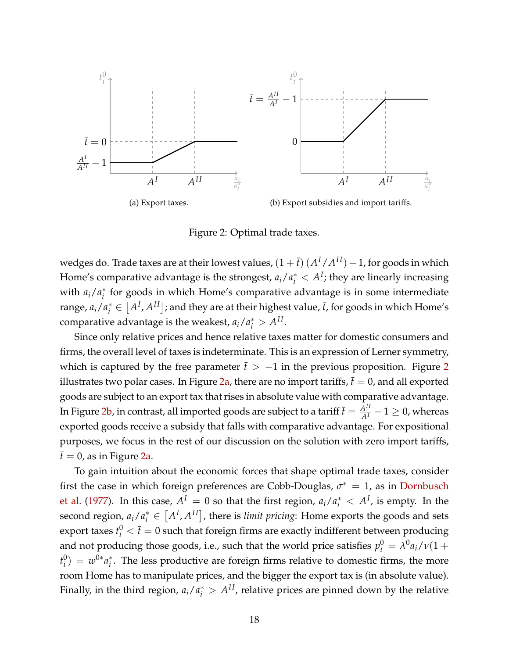<span id="page-18-1"></span><span id="page-18-0"></span>

<span id="page-18-2"></span>Figure 2: Optimal trade taxes.

wedges do. Trade taxes are at their lowest values,  $(1+\bar{t})$   $(A^I/A^{II})$   $-$  1, for goods in which Home's comparative advantage is the strongest,  $a_i/a_i^* < A^I$ ; they are linearly increasing with  $a_i/a_i^*$  for goods in which Home's comparative advantage is in some intermediate range,  $a_i/a_i^* \in \left[A^I,A^{II}\right]$ ; and they are at their highest value,  $\bar{t}$ , for goods in which Home's comparative advantage is the weakest,  $a_i/a_i^* > A^{II}$ .

Since only relative prices and hence relative taxes matter for domestic consumers and firms, the overall level of taxes is indeterminate. This is an expression of Lerner symmetry, which is captured by the free parameter  $\bar{t}$  >  $-1$  in the previous proposition. Figure [2](#page-18-0) illustrates two polar cases. In Figure [2a,](#page-18-1) there are no import tariffs,  $\bar{t} = 0$ , and all exported goods are subject to an export tax that rises in absolute value with comparative advantage. In Figure [2b,](#page-18-2) in contrast, all imported goods are subject to a tariff  $\bar{t}=\frac{A^{II}}{A^{I}}-1\geq 0$ , whereas exported goods receive a subsidy that falls with comparative advantage. For expositional purposes, we focus in the rest of our discussion on the solution with zero import tariffs,  $\bar{t} = 0$ , as in Figure [2a.](#page-18-1)

To gain intuition about the economic forces that shape optimal trade taxes, consider first the case in which foreign preferences are Cobb-Douglas,  $\sigma^* = 1$ , as in [Dornbusch](#page-39-1) [et al.](#page-39-1) [\(1977\)](#page-39-1). In this case,  $A^I = 0$  so that the first region,  $a_i/a_i^* < A^I$ , is empty. In the second region,  $a_i/a_i^* \in [A^I, A^{II}]$ , there is *limit pricing*: Home exports the goods and sets export taxes  $t_i^0 < \bar{t} = 0$  such that foreign firms are exactly indifferent between producing and not producing those goods, i.e., such that the world price satisfies  $p_i^0 = \lambda^0 a_i/\nu(1+\lambda)$ *t* 0  $\hat{u}^{(0)}_{i} = w^{0*} a_i^*$ . The less productive are foreign firms relative to domestic firms, the more room Home has to manipulate prices, and the bigger the export tax is (in absolute value). Finally, in the third region,  $a_i/a_i^* > A^{II}$ , relative prices are pinned down by the relative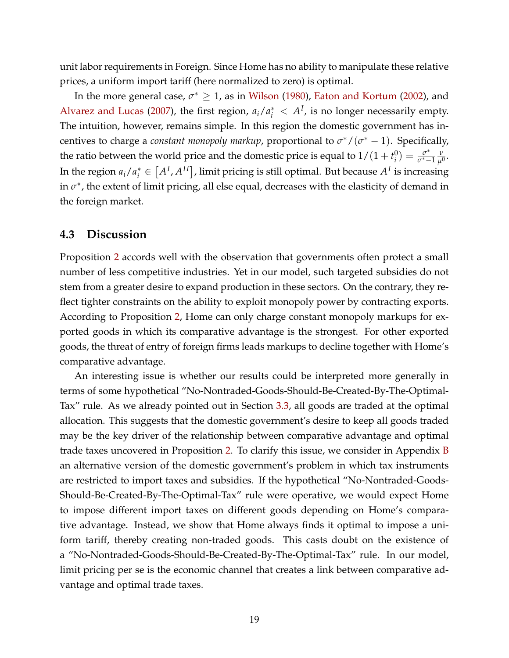unit labor requirements in Foreign. Since Home has no ability to manipulate these relative prices, a uniform import tariff (here normalized to zero) is optimal.

In the more general case,  $\sigma^* \geq 1$ , as in [Wilson](#page-41-0) [\(1980\)](#page-41-0), [Eaton and Kortum](#page-39-2) [\(2002\)](#page-39-2), and [Alvarez and Lucas](#page-38-0) [\(2007\)](#page-38-0), the first region,  $a_i/a_i^* < A^I$ , is no longer necessarily empty. The intuition, however, remains simple. In this region the domestic government has incentives to charge a *constant monopoly markup*, proportional to *σ* <sup>∗</sup>/(*σ* <sup>∗</sup> − 1). Specifically, the ratio between the world price and the domestic price is equal to  $1/(1+t_i^0)$  $\binom{0}{i} = \frac{\sigma^*}{\sigma^*-1}$  $\frac{\sigma^*}{\sigma^*-1} \frac{\nu}{\mu^0}$ . In the region  $a_i/a_i^* \in \left[A^I,A^{II}\right]$ , limit pricing is still optimal. But because  $A^I$  is increasing in  $\sigma^*$ , the extent of limit pricing, all else equal, decreases with the elasticity of demand in the foreign market.

#### <span id="page-19-0"></span>**4.3 Discussion**

Proposition [2](#page-17-2) accords well with the observation that governments often protect a small number of less competitive industries. Yet in our model, such targeted subsidies do not stem from a greater desire to expand production in these sectors. On the contrary, they reflect tighter constraints on the ability to exploit monopoly power by contracting exports. According to Proposition [2,](#page-17-2) Home can only charge constant monopoly markups for exported goods in which its comparative advantage is the strongest. For other exported goods, the threat of entry of foreign firms leads markups to decline together with Home's comparative advantage.

An interesting issue is whether our results could be interpreted more generally in terms of some hypothetical "No-Nontraded-Goods-Should-Be-Created-By-The-Optimal-Tax" rule. As we already pointed out in Section [3.3,](#page-12-0) all goods are traded at the optimal allocation. This suggests that the domestic government's desire to keep all goods traded may be the key driver of the relationship between comparative advantage and optimal trade taxes uncovered in Proposition [2.](#page-17-2) To clarify this issue, we consider in Appendix [B](#page-46-0) an alternative version of the domestic government's problem in which tax instruments are restricted to import taxes and subsidies. If the hypothetical "No-Nontraded-Goods-Should-Be-Created-By-The-Optimal-Tax" rule were operative, we would expect Home to impose different import taxes on different goods depending on Home's comparative advantage. Instead, we show that Home always finds it optimal to impose a uniform tariff, thereby creating non-traded goods. This casts doubt on the existence of a "No-Nontraded-Goods-Should-Be-Created-By-The-Optimal-Tax" rule. In our model, limit pricing per se is the economic channel that creates a link between comparative advantage and optimal trade taxes.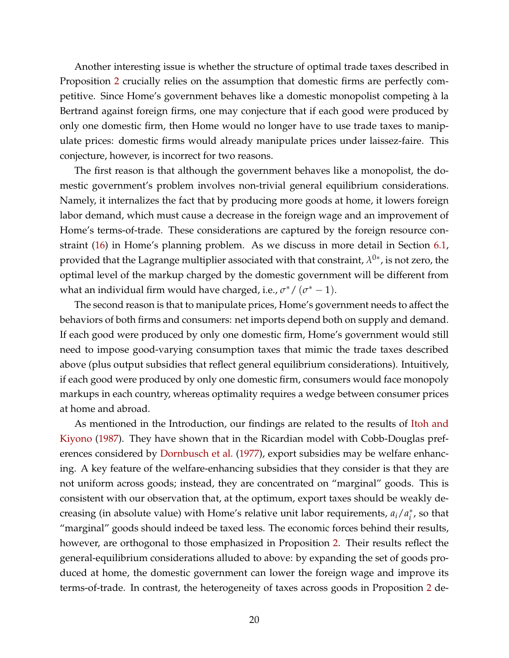Another interesting issue is whether the structure of optimal trade taxes described in Proposition [2](#page-17-2) crucially relies on the assumption that domestic firms are perfectly competitive. Since Home's government behaves like a domestic monopolist competing à la Bertrand against foreign firms, one may conjecture that if each good were produced by only one domestic firm, then Home would no longer have to use trade taxes to manipulate prices: domestic firms would already manipulate prices under laissez-faire. This conjecture, however, is incorrect for two reasons.

The first reason is that although the government behaves like a monopolist, the domestic government's problem involves non-trivial general equilibrium considerations. Namely, it internalizes the fact that by producing more goods at home, it lowers foreign labor demand, which must cause a decrease in the foreign wage and an improvement of Home's terms-of-trade. These considerations are captured by the foreign resource constraint [\(16\)](#page-9-3) in Home's planning problem. As we discuss in more detail in Section [6.1,](#page-29-0) provided that the Lagrange multiplier associated with that constraint*,*  $\lambda^{0*}$ *,* is not zero*,* the optimal level of the markup charged by the domestic government will be different from what an individual firm would have charged, i.e., *σ* <sup>∗</sup>/ (*σ* <sup>∗</sup> − 1).

The second reason is that to manipulate prices, Home's government needs to affect the behaviors of both firms and consumers: net imports depend both on supply and demand. If each good were produced by only one domestic firm, Home's government would still need to impose good-varying consumption taxes that mimic the trade taxes described above (plus output subsidies that reflect general equilibrium considerations). Intuitively, if each good were produced by only one domestic firm, consumers would face monopoly markups in each country, whereas optimality requires a wedge between consumer prices at home and abroad.

As mentioned in the Introduction, our findings are related to the results of [Itoh and](#page-40-4) [Kiyono](#page-40-4) [\(1987\)](#page-40-4). They have shown that in the Ricardian model with Cobb-Douglas preferences considered by [Dornbusch et al.](#page-39-1) [\(1977\)](#page-39-1), export subsidies may be welfare enhancing. A key feature of the welfare-enhancing subsidies that they consider is that they are not uniform across goods; instead, they are concentrated on "marginal" goods. This is consistent with our observation that, at the optimum, export taxes should be weakly decreasing (in absolute value) with Home's relative unit labor requirements,  $a_i/a_i^*$ , so that "marginal" goods should indeed be taxed less. The economic forces behind their results, however, are orthogonal to those emphasized in Proposition [2.](#page-17-2) Their results reflect the general-equilibrium considerations alluded to above: by expanding the set of goods produced at home, the domestic government can lower the foreign wage and improve its terms-of-trade. In contrast, the heterogeneity of taxes across goods in Proposition [2](#page-17-2) de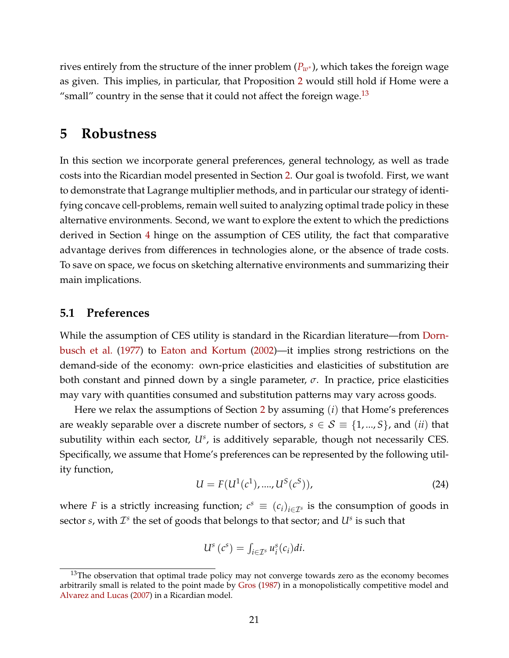rives entirely from the structure of the inner problem (*[P](#page-10-0)w*<sup>∗</sup> ), which takes the foreign wage as given. This implies, in particular, that Proposition [2](#page-17-2) would still hold if Home were a "small" country in the sense that it could not affect the foreign wage. $^{13}$  $^{13}$  $^{13}$ 

### <span id="page-21-0"></span>**5 Robustness**

In this section we incorporate general preferences, general technology, as well as trade costs into the Ricardian model presented in Section [2.](#page-5-1) Our goal is twofold. First, we want to demonstrate that Lagrange multiplier methods, and in particular our strategy of identifying concave cell-problems, remain well suited to analyzing optimal trade policy in these alternative environments. Second, we want to explore the extent to which the predictions derived in Section [4](#page-15-0) hinge on the assumption of CES utility, the fact that comparative advantage derives from differences in technologies alone, or the absence of trade costs. To save on space, we focus on sketching alternative environments and summarizing their main implications.

#### **5.1 Preferences**

While the assumption of CES utility is standard in the Ricardian literature—from [Dorn](#page-39-1)[busch et al.](#page-39-1) [\(1977\)](#page-39-1) to [Eaton and Kortum](#page-39-2) [\(2002\)](#page-39-2)—it implies strong restrictions on the demand-side of the economy: own-price elasticities and elasticities of substitution are both constant and pinned down by a single parameter,  $\sigma$ . In practice, price elasticities may vary with quantities consumed and substitution patterns may vary across goods.

Here we relax the assumptions of Section [2](#page-5-1) by assuming (*i*) that Home's preferences are weakly separable over a discrete number of sectors,  $s \in S \equiv \{1,...,S\}$ , and *(ii)* that subutility within each sector,  $U^s$ , is additively separable, though not necessarily CES. Specifically, we assume that Home's preferences can be represented by the following utility function,

<span id="page-21-2"></span>
$$
U = F(U^1(c^1), ..., U^S(c^S)),
$$
\n(24)

where *F* is a strictly increasing function;  $c^s \equiv (c_i)_{i \in \mathcal{I}^s}$  is the consumption of goods in sector *s*, with  $\mathcal{I}^s$  the set of goods that belongs to that sector; and  $U^s$  is such that

$$
U^{s}(c^{s})=\int_{i\in\mathcal{I}^{s}}u_{i}^{s}(c_{i})di.
$$

<span id="page-21-1"></span><sup>&</sup>lt;sup>13</sup>The observation that optimal trade policy may not converge towards zero as the economy becomes arbitrarily small is related to the point made by [Gros](#page-40-11) [\(1987\)](#page-40-11) in a monopolistically competitive model and [Alvarez and Lucas](#page-38-0) [\(2007\)](#page-38-0) in a Ricardian model.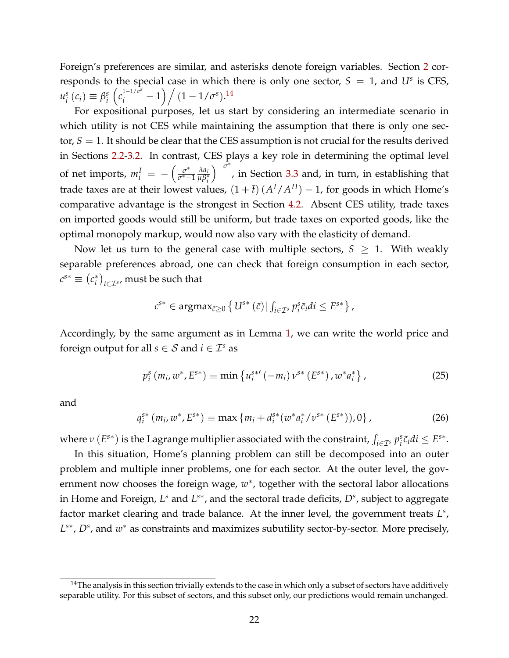Foreign's preferences are similar, and asterisks denote foreign variables. Section [2](#page-5-1) corresponds to the special case in which there is only one sector,  $S = 1$ , and  $U^s$  is CES,  $u_i^s$  $\beta_i^s(c_i) \equiv \beta_i^s$ *i*  $\left(c_i^{1-1/\tilde{\sigma}^s} - 1\right) / (1 - 1/\sigma^s).^{14}$  $\left(c_i^{1-1/\tilde{\sigma}^s} - 1\right) / (1 - 1/\sigma^s).^{14}$  $\left(c_i^{1-1/\tilde{\sigma}^s} - 1\right) / (1 - 1/\sigma^s).^{14}$ 

For expositional purposes, let us start by considering an intermediate scenario in which utility is not CES while maintaining the assumption that there is only one sector,  $S = 1$ . It should be clear that the CES assumption is not crucial for the results derived in Sections [2.2-](#page-6-6)[3.2.](#page-11-0) In contrast, CES plays a key role in determining the optimal level of net imports,  $m_i^I = -\left(\frac{\sigma^*}{\sigma^*-\sigma^*}\right)$ *σ* <sup>∗</sup>−1 *λa<sup>i</sup> µβ*∗ *i*  $\int$ <sup>- $\sigma^*$ </sup>, in Section [3.3](#page-12-0) and, in turn, in establishing that trade taxes are at their lowest values,  $(1 + \bar{t}) (A^{I}/A^{II}) - 1$ , for goods in which Home's comparative advantage is the strongest in Section [4.2.](#page-16-2) Absent CES utility, trade taxes on imported goods would still be uniform, but trade taxes on exported goods, like the optimal monopoly markup, would now also vary with the elasticity of demand.

Now let us turn to the general case with multiple sectors,  $S \geq 1$ . With weakly separable preferences abroad, one can check that foreign consumption in each sector,  $c^{s*} \equiv (c_i^*)_{i \in \mathcal{I}^s}$ , must be such that

$$
c^{s*} \in \operatorname{argmax}_{\tilde{c} \geq 0} \left\{ U^{s*}(\tilde{c}) | \int_{i \in \mathcal{I}^s} p_i^s \tilde{c}_i di \leq E^{s*} \right\},\,
$$

Accordingly, by the same argument as in Lemma [1,](#page-8-2) we can write the world price and foreign output for all  $s \in S$  and  $i \in \mathcal{I}^s$  as

<span id="page-22-1"></span>
$$
p_i^s(m_i, w^*, E^{s*}) \equiv \min \left\{ u_i^{s*}(-m_i) v^{s*} (E^{s*}), w^* a_i^* \right\},\tag{25}
$$

and

<span id="page-22-2"></span>
$$
q_i^{s*} (m_i, w^*, E^{s*}) \equiv \max \{ m_i + d_i^{s*} (w^* a_i^* / v^{s*} (E^{s*})), 0 \}, \qquad (26)
$$

where  $\nu$   $(E^{s*})$  is the Lagrange multiplier associated with the constraint,  $\int_{i\in\mathcal{I}^s} p_i^s$  ${}_{i}^{s}\tilde{c}_{i}di \leq E^{s*}.$ 

In this situation, Home's planning problem can still be decomposed into an outer problem and multiple inner problems, one for each sector. At the outer level, the government now chooses the foreign wage,  $w^*$ , together with the sectoral labor allocations in Home and Foreign, L<sup>s</sup> and L<sup>s\*</sup>, and the sectoral trade deficits, D<sup>s</sup>, subject to aggregate factor market clearing and trade balance. At the inner level, the government treats *L s* , L<sup>s\*</sup>, D<sup>s</sup>, and  $w^*$  as constraints and maximizes subutility sector-by-sector. More precisely,

<span id="page-22-0"></span> $14$ The analysis in this section trivially extends to the case in which only a subset of sectors have additively separable utility. For this subset of sectors, and this subset only, our predictions would remain unchanged.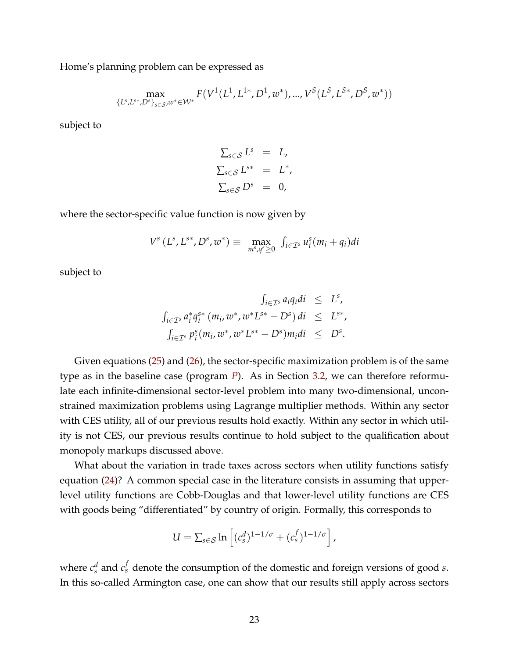Home's planning problem can be expressed as

$$
\max_{\{L^s, L^{s*}, D^s\}_{s \in \mathcal{S}}, w^* \in \mathcal{W}^*} F(V^1(L^1, L^{1*}, D^1, w^*), ..., V^S(L^S, L^{S*}, D^S, w^*))
$$

subject to

$$
\sum_{s \in \mathcal{S}} L^s = L,
$$
  

$$
\sum_{s \in \mathcal{S}} L^{s*} = L^*,
$$
  

$$
\sum_{s \in \mathcal{S}} D^s = 0,
$$

where the sector-specific value function is now given by

$$
V^{s}(L^{s}, L^{s*}, D^{s}, w^{*}) \equiv \max_{m^{s}, q^{s} \geq 0} \int_{i \in \mathcal{I}^{s}} u_{i}^{s}(m_{i} + q_{i}) di
$$

subject to

$$
\int_{i\in\mathcal{I}^s} a_i q_i di \leq L^s,
$$
  

$$
\int_{i\in\mathcal{I}^s} a_i^* q_i^{s*} (m_i, w^*, w^* L^{s*} - D^s) di \leq L^{s*},
$$
  

$$
\int_{i\in\mathcal{I}^s} p_i^s (m_i, w^*, w^* L^{s*} - D^s) m_i di \leq D^s.
$$

Given equations [\(25\)](#page-22-1) and [\(26\)](#page-22-2), the sector-specific maximization problem is of the same type as in the baseline case (program *[P](#page-9-1)*). As in Section [3.2,](#page-11-0) we can therefore reformulate each infinite-dimensional sector-level problem into many two-dimensional, unconstrained maximization problems using Lagrange multiplier methods. Within any sector with CES utility, all of our previous results hold exactly. Within any sector in which utility is not CES, our previous results continue to hold subject to the qualification about monopoly markups discussed above.

What about the variation in trade taxes across sectors when utility functions satisfy equation [\(24\)](#page-21-2)? A common special case in the literature consists in assuming that upperlevel utility functions are Cobb-Douglas and that lower-level utility functions are CES with goods being "differentiated" by country of origin. Formally, this corresponds to

$$
U = \sum_{s \in \mathcal{S}} \ln \left[ (c_s^d)^{1 - 1/\sigma} + (c_s^f)^{1 - 1/\sigma} \right],
$$

where  $c_s^d$  and  $c_s^f$  denote the consumption of the domestic and foreign versions of good *s*. In this so-called Armington case, one can show that our results still apply across sectors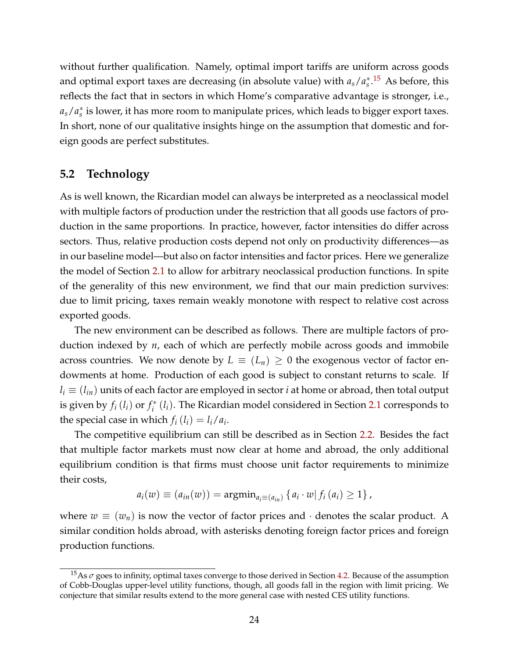without further qualification. Namely, optimal import tariffs are uniform across goods and optimal export taxes are decreasing (in absolute value) with  $a_s/a_s^*$ .<sup>[15](#page-24-0)</sup> As before, this reflects the fact that in sectors in which Home's comparative advantage is stronger, i.e.,  $a_s/a_s^*$  is lower, it has more room to manipulate prices, which leads to bigger export taxes. In short, none of our qualitative insights hinge on the assumption that domestic and foreign goods are perfect substitutes.

#### **5.2 Technology**

As is well known, the Ricardian model can always be interpreted as a neoclassical model with multiple factors of production under the restriction that all goods use factors of production in the same proportions. In practice, however, factor intensities do differ across sectors. Thus, relative production costs depend not only on productivity differences—as in our baseline model—but also on factor intensities and factor prices. Here we generalize the model of Section [2.1](#page-5-3) to allow for arbitrary neoclassical production functions. In spite of the generality of this new environment, we find that our main prediction survives: due to limit pricing, taxes remain weakly monotone with respect to relative cost across exported goods.

The new environment can be described as follows. There are multiple factors of production indexed by *n*, each of which are perfectly mobile across goods and immobile across countries. We now denote by  $L \equiv (L_n) \geq 0$  the exogenous vector of factor endowments at home. Production of each good is subject to constant returns to scale. If  $l_i \equiv (l_{in})$  units of each factor are employed in sector *i* at home or abroad, then total output is given by  $f_i\left(l_i\right)$  or  $f_i^\ast\left(l_i\right)$ . The Ricardian model considered in Section [2.1](#page-5-3) corresponds to the special case in which  $f_i(l_i) = l_i/a_i$ .

The competitive equilibrium can still be described as in Section [2.2.](#page-6-6) Besides the fact that multiple factor markets must now clear at home and abroad, the only additional equilibrium condition is that firms must choose unit factor requirements to minimize their costs,

$$
a_i(w) \equiv (a_{in}(w)) = \operatorname{argmin}_{a_i \equiv (a_{in})} \{ a_i \cdot w | f_i(a_i) \geq 1 \},
$$

where  $w \equiv (w_n)$  is now the vector of factor prices and  $\cdot$  denotes the scalar product. A similar condition holds abroad, with asterisks denoting foreign factor prices and foreign production functions.

<span id="page-24-0"></span><sup>&</sup>lt;sup>15</sup>As  $\sigma$  goes to infinity, optimal taxes converge to those derived in Section [4.2.](#page-16-2) Because of the assumption of Cobb-Douglas upper-level utility functions, though, all goods fall in the region with limit pricing. We conjecture that similar results extend to the more general case with nested CES utility functions.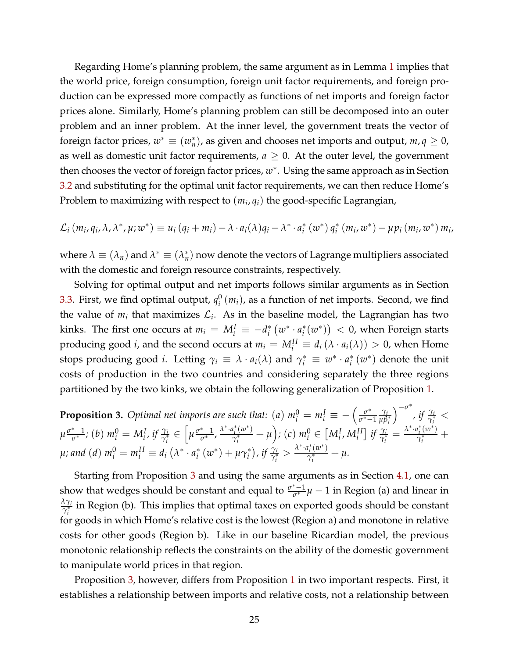Regarding Home's planning problem, the same argument as in Lemma [1](#page-8-2) implies that the world price, foreign consumption, foreign unit factor requirements, and foreign production can be expressed more compactly as functions of net imports and foreign factor prices alone. Similarly, Home's planning problem can still be decomposed into an outer problem and an inner problem. At the inner level, the government treats the vector of foreign factor prices,  $w^* \equiv (w_n^*)$ , as given and chooses net imports and output,  $m, q \ge 0$ , as well as domestic unit factor requirements,  $a \geq 0$ . At the outer level, the government then chooses the vector of foreign factor prices, *w* ∗ . Using the same approach as in Section [3.2](#page-11-0) and substituting for the optimal unit factor requirements, we can then reduce Home's Problem to maximizing with respect to  $(m_i,q_i)$  the good-specific Lagrangian,

$$
\mathcal{L}_i(m_i,q_i,\lambda,\lambda^*,\mu;w^*)\equiv u_i(q_i+m_i)-\lambda\cdot a_i(\lambda)q_i-\lambda^*\cdot a_i^*(w^*)q_i^*(m_i,w^*)-\mu p_i(m_i,w^*)m_i,
$$

where  $\lambda \equiv (\lambda_n)$  and  $\lambda^* \equiv (\lambda_n^*)$  now denote the vectors of Lagrange multipliers associated with the domestic and foreign resource constraints, respectively.

Solving for optimal output and net imports follows similar arguments as in Section [3.3.](#page-12-0) First, we find optimal output,  $q_i^0$  $\binom{0}{i}$  ( $m_i$ ), as a function of net imports. Second, we find the value of  $m_i$  that maximizes  $\mathcal{L}_i$ . As in the baseline model, the Lagrangian has two kinks. The first one occurs at  $m_i = M_i^I \equiv -d_i^* (w^* \cdot a_i^*(w^*)) < 0$ , when Foreign starts producing good *i*, and the second occurs at  $m_i = M_i^{\text{II}} \equiv d_i (\lambda \cdot a_i(\lambda)) > 0$ , when Home stops producing good *i*. Letting  $\gamma_i \equiv \lambda \cdot a_i(\lambda)$  and  $\gamma_i^* \equiv w^* \cdot a_i^* (w^*)$  denote the unit costs of production in the two countries and considering separately the three regions partitioned by the two kinks, we obtain the following generalization of Proposition [1.](#page-14-0)

<span id="page-25-0"></span>**Proposition 3.** Optimal net imports are such that: (a) 
$$
m_i^0 = m_i^I \equiv -\left(\frac{\sigma^*}{\sigma^* - 1} \frac{\gamma_i}{\mu \beta_i^*}\right)^{-\sigma^*}
$$
, if  $\frac{\gamma_i}{\gamma_i^*} < \mu \frac{\sigma^* - 1}{\sigma^*}$ ; (b)  $m_i^0 = M_i^I$ , if  $\frac{\gamma_i}{\gamma_i^*} \in \left[\mu \frac{\sigma^* - 1}{\sigma^*}, \frac{\lambda^* \cdot a_i^*(w^*)}{\gamma_i^*} + \mu\right)$ ; (c)  $m_i^0 \in \left[M_i^I, M_i^{II}\right]$  if  $\frac{\gamma_i}{\gamma_i^*} = \frac{\lambda^* \cdot a_i^*(w^*)}{\gamma_i^*} + \mu$ ; and (d)  $m_i^0 = m_i^{II} \equiv d_i \left(\lambda^* \cdot a_i^* \left(w^*\right) + \mu \gamma_i^*\right)$ , if  $\frac{\gamma_i}{\gamma_i^*} > \frac{\lambda^* \cdot a_i^*(w^*)}{\gamma_i^*} + \mu$ .

Starting from Proposition [3](#page-25-0) and using the same arguments as in Section [4.1,](#page-15-2) one can show that wedges should be constant and equal to  $\frac{\sigma^*-1}{\sigma^*}\mu-1$  in Region (a) and linear in *λγi γ* ∗ *i* in Region (b). This implies that optimal taxes on exported goods should be constant for goods in which Home's relative cost is the lowest (Region a) and monotone in relative costs for other goods (Region b). Like in our baseline Ricardian model, the previous monotonic relationship reflects the constraints on the ability of the domestic government to manipulate world prices in that region.

Proposition [3,](#page-25-0) however, differs from Proposition [1](#page-14-0) in two important respects. First, it establishes a relationship between imports and relative costs, not a relationship between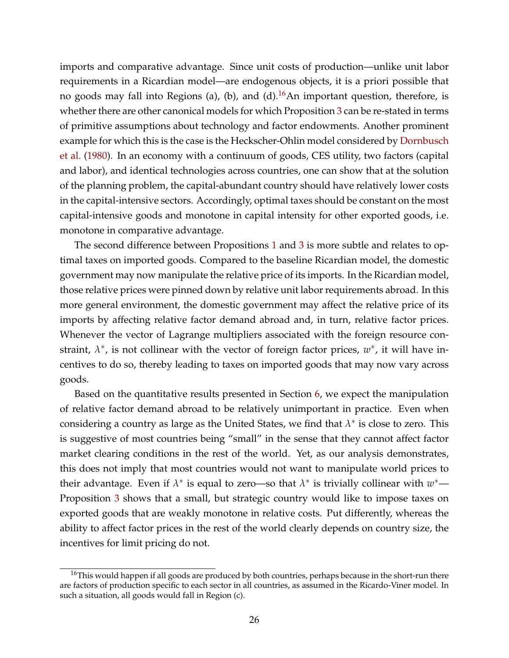imports and comparative advantage. Since unit costs of production—unlike unit labor requirements in a Ricardian model—are endogenous objects, it is a priori possible that no goods may fall into Regions (a), (b), and (d). $^{16}$  $^{16}$  $^{16}$ An important question, therefore, is whether there are other canonical models for which Proposition [3](#page-25-0) can be re-stated in terms of primitive assumptions about technology and factor endowments. Another prominent example for which this is the case is the Heckscher-Ohlin model considered by [Dornbusch](#page-39-7) [et al.](#page-39-7) [\(1980\)](#page-39-7). In an economy with a continuum of goods, CES utility, two factors (capital and labor), and identical technologies across countries, one can show that at the solution of the planning problem, the capital-abundant country should have relatively lower costs in the capital-intensive sectors. Accordingly, optimal taxes should be constant on the most capital-intensive goods and monotone in capital intensity for other exported goods, i.e. monotone in comparative advantage.

The second difference between Propositions [1](#page-14-0) and [3](#page-25-0) is more subtle and relates to optimal taxes on imported goods. Compared to the baseline Ricardian model, the domestic government may now manipulate the relative price of its imports. In the Ricardian model, those relative prices were pinned down by relative unit labor requirements abroad. In this more general environment, the domestic government may affect the relative price of its imports by affecting relative factor demand abroad and, in turn, relative factor prices. Whenever the vector of Lagrange multipliers associated with the foreign resource constraint,  $\lambda^*$ , is not collinear with the vector of foreign factor prices,  $w^*$ , it will have incentives to do so, thereby leading to taxes on imported goods that may now vary across goods.

Based on the quantitative results presented in Section [6,](#page-28-0) we expect the manipulation of relative factor demand abroad to be relatively unimportant in practice. Even when considering a country as large as the United States, we find that  $\lambda^*$  is close to zero. This is suggestive of most countries being "small" in the sense that they cannot affect factor market clearing conditions in the rest of the world. Yet, as our analysis demonstrates, this does not imply that most countries would not want to manipulate world prices to their advantage. Even if  $\lambda^*$  is equal to zero—so that  $\lambda^*$  is trivially collinear with  $w^*$ — Proposition [3](#page-25-0) shows that a small, but strategic country would like to impose taxes on exported goods that are weakly monotone in relative costs. Put differently, whereas the ability to affect factor prices in the rest of the world clearly depends on country size, the incentives for limit pricing do not.

<span id="page-26-0"></span> $16$ This would happen if all goods are produced by both countries, perhaps because in the short-run there are factors of production specific to each sector in all countries, as assumed in the Ricardo-Viner model. In such a situation, all goods would fall in Region (c).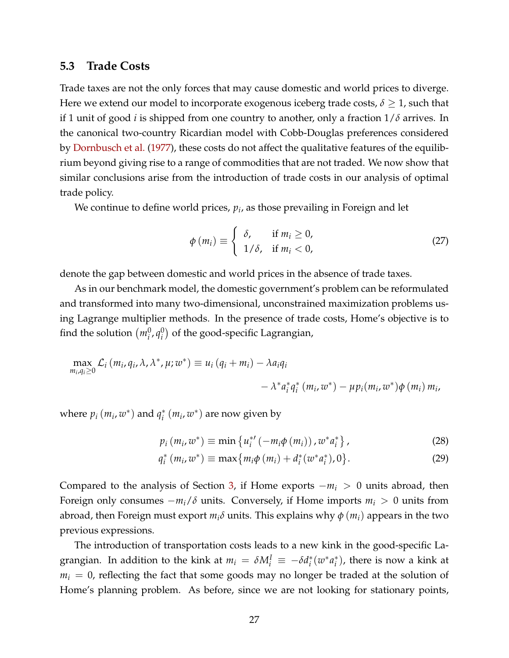#### <span id="page-27-0"></span>**5.3 Trade Costs**

Trade taxes are not the only forces that may cause domestic and world prices to diverge. Here we extend our model to incorporate exogenous iceberg trade costs,  $\delta \geq 1$ , such that if 1 unit of good *i* is shipped from one country to another, only a fraction 1/*δ* arrives. In the canonical two-country Ricardian model with Cobb-Douglas preferences considered by [Dornbusch et al.](#page-39-1) [\(1977\)](#page-39-1), these costs do not affect the qualitative features of the equilibrium beyond giving rise to a range of commodities that are not traded. We now show that similar conclusions arise from the introduction of trade costs in our analysis of optimal trade policy.

We continue to define world prices, *p<sup>i</sup>* , as those prevailing in Foreign and let

$$
\phi(m_i) \equiv \begin{cases} \delta, & \text{if } m_i \ge 0, \\ 1/\delta, & \text{if } m_i < 0, \end{cases}
$$
 (27)

denote the gap between domestic and world prices in the absence of trade taxes.

As in our benchmark model, the domestic government's problem can be reformulated and transformed into many two-dimensional, unconstrained maximization problems using Lagrange multiplier methods. In the presence of trade costs, Home's objective is to find the solution  $(m_i^0, q_i^0)$  $\binom{0}{i}$  of the good-specific Lagrangian,

$$
\max_{m_i, q_i \ge 0} \mathcal{L}_i(m_i, q_i, \lambda, \lambda^*, \mu; w^*) \equiv u_i(q_i + m_i) - \lambda a_i q_i
$$
  
-  $\lambda^* a_i^* q_i^* (m_i, w^*) - \mu p_i(m_i, w^*) \phi(m_i) m_i,$ 

where  $p_i(m_i, w^*)$  and  $q_i^*$   $(m_i, w^*)$  are now given by

$$
p_{i}(m_{i}, w^{*}) \equiv \min \{ u_{i}^{*'}(-m_{i}\phi(m_{i})), w^{*}a_{i}^{*} \}, \qquad (28)
$$

$$
q_i^* (m_i, w^*) \equiv \max \{ m_i \phi (m_i) + d_i^* (w^* a_i^*), 0 \}.
$$
 (29)

Compared to the analysis of Section [3,](#page-8-0) if Home exports −*m<sup>i</sup>* > 0 units abroad, then Foreign only consumes  $-m_i/\delta$  units. Conversely, if Home imports  $m_i > 0$  units from abroad, then Foreign must export  $m_i\delta$  units. This explains why  $\phi(m_i)$  appears in the two previous expressions.

The introduction of transportation costs leads to a new kink in the good-specific Lagrangian. In addition to the kink at  $m_i = \delta M_i^I \equiv -\delta d_i^*(w^* a_i^*)$ , there is now a kink at  $m<sub>i</sub> = 0$ , reflecting the fact that some goods may no longer be traded at the solution of Home's planning problem. As before, since we are not looking for stationary points,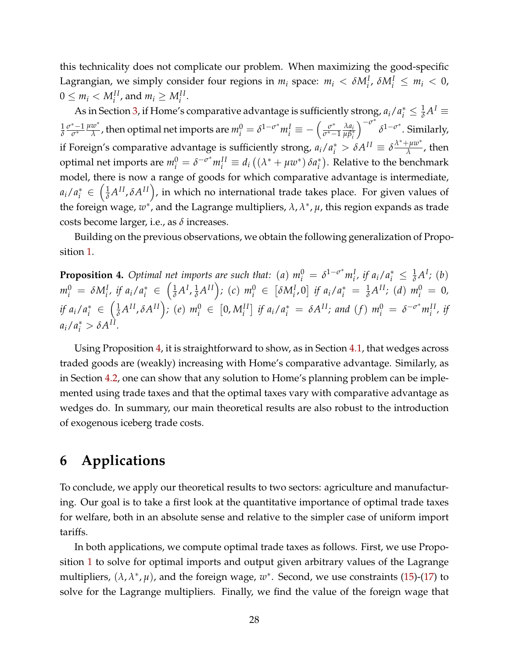this technicality does not complicate our problem. When maximizing the good-specific Lagrangian, we simply consider four regions in  $m_i$  space:  $m_i < \delta M_i^I$ ,  $\delta M_i^I \le m_i < 0$ ,  $0 \leq m_i < M_i^{\text{II}}$ , and  $m_i \geq M_i^{\text{II}}$ .

As in Section [3,](#page-8-0) if Home's comparative advantage is sufficiently strong,  $a_i/a_i^* \leq \frac{1}{\delta}A^I \equiv$ 1 *δ σ* <sup>∗</sup>−1 *σ* ∗ *µw* ∗  $\frac{w^*}{\lambda}$ , then optimal net imports are  $m_i^0 = \delta^{1-\sigma^*} m_i^I \equiv -\left(\frac{\sigma^*}{\sigma^*-\sigma^*}\right)$ *σ* <sup>∗</sup>−1 *λa<sup>i</sup> µβ*∗ *i* −*<sup>σ</sup>* ∗ *δ* 1−*σ* ∗ . Similarly, if Foreign's comparative advantage is sufficiently strong,  $a_i/a_i^* > \delta A^{II} \equiv \delta \frac{\lambda^* + \mu w^*}{\lambda}$  $\frac{1}{\lambda}$ , then optimal net imports are  $m_i^0 = \delta^{-\sigma^*} m_i^{II} \equiv d_i \left( (\lambda^* + \mu w^*) \, \delta a_i^* \right)$ . Relative to the benchmark model, there is now a range of goods for which comparative advantage is intermediate,  $a_i/a_i^*$  ∈  $\left(\frac{1}{\delta}A^{II}, \delta A^{II}\right)$ , in which no international trade takes place. For given values of the foreign wage,  $w^*$ , and the Lagrange multipliers,  $\lambda$ ,  $\lambda^*$ ,  $\mu$ , this region expands as trade costs become larger, i.e., as *δ* increases.

Building on the previous observations, we obtain the following generalization of Proposition [1.](#page-14-0)

<span id="page-28-1"></span>**Proposition 4.** Optimal net imports are such that: (a)  $m_i^0 = \delta^{1-\sigma^*} m_i^I$ , if  $a_i/a_i^* \leq \frac{1}{\delta} A^I$ ; (b)  $m_i^0 = \delta M_i^I$ , if  $a_i/a_i^* \in$  $\left(\frac{1}{\delta}A^{I}, \frac{1}{\delta}A^{II}\right);$  (c)  $m_i^0 \in [\delta M_i^I, 0]$  if  $a_i/a_i^* = \frac{1}{\delta}A^{II};$  (d)  $m_i^0 = 0$ , *if*  $a_i/a_i^* \in$  $\left(\frac{1}{\delta}A^{II}, \delta A^{II}\right);$  (e)  $m_i^0 \in [0, M_i^{II}]$  if  $a_i/a_i^* = \delta A^{II};$  and (f)  $m_i^0 = \delta^{-\sigma^*} m_i^{II}$ , if  $a_i/a_i^* > \delta A^{II}$ .

Using Proposition [4,](#page-28-1) it is straightforward to show, as in Section [4.1,](#page-15-2) that wedges across traded goods are (weakly) increasing with Home's comparative advantage. Similarly, as in Section [4.2,](#page-16-2) one can show that any solution to Home's planning problem can be implemented using trade taxes and that the optimal taxes vary with comparative advantage as wedges do. In summary, our main theoretical results are also robust to the introduction of exogenous iceberg trade costs.

## <span id="page-28-0"></span>**6 Applications**

To conclude, we apply our theoretical results to two sectors: agriculture and manufacturing. Our goal is to take a first look at the quantitative importance of optimal trade taxes for welfare, both in an absolute sense and relative to the simpler case of uniform import tariffs.

In both applications, we compute optimal trade taxes as follows. First, we use Proposition [1](#page-14-0) to solve for optimal imports and output given arbitrary values of the Lagrange multipliers, (*λ*, *λ* ∗ , *µ*), and the foreign wage, *w* ∗ . Second, we use constraints [\(15\)](#page-9-2)-[\(17\)](#page-9-4) to solve for the Lagrange multipliers. Finally, we find the value of the foreign wage that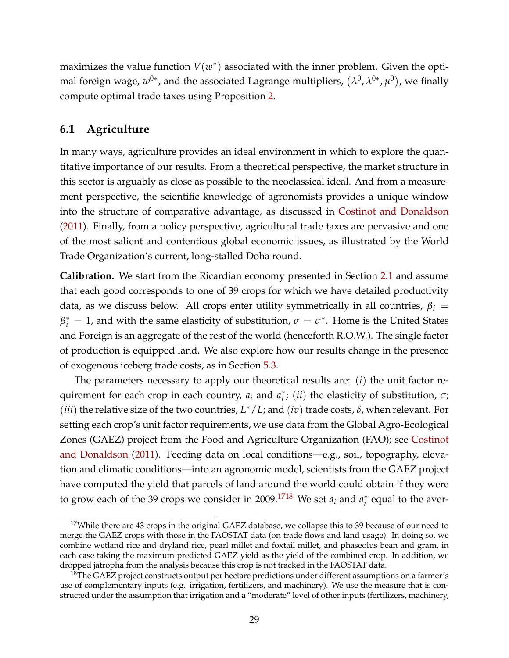maximizes the value function  $V(w^*)$  associated with the inner problem. Given the optimal foreign wage*,*  $w^{0*}$ *,* and the associated Lagrange multipliers,  $(\lambda^0, \lambda^{0*}, \mu^0)$ , we finally compute optimal trade taxes using Proposition [2.](#page-17-2)

#### <span id="page-29-0"></span>**6.1 Agriculture**

In many ways, agriculture provides an ideal environment in which to explore the quantitative importance of our results. From a theoretical perspective, the market structure in this sector is arguably as close as possible to the neoclassical ideal. And from a measurement perspective, the scientific knowledge of agronomists provides a unique window into the structure of comparative advantage, as discussed in [Costinot and Donaldson](#page-39-8) [\(2011\)](#page-39-8). Finally, from a policy perspective, agricultural trade taxes are pervasive and one of the most salient and contentious global economic issues, as illustrated by the World Trade Organization's current, long-stalled Doha round.

**Calibration.** We start from the Ricardian economy presented in Section [2.1](#page-5-3) and assume that each good corresponds to one of 39 crops for which we have detailed productivity data, as we discuss below. All crops enter utility symmetrically in all countries,  $\beta_i$  =  $\beta_i^* = 1$ , and with the same elasticity of substitution,  $\sigma = \sigma^*$ . Home is the United States and Foreign is an aggregate of the rest of the world (henceforth R.O.W.). The single factor of production is equipped land. We also explore how our results change in the presence of exogenous iceberg trade costs, as in Section [5.3.](#page-27-0)

The parameters necessary to apply our theoretical results are: (*i*) the unit factor requirement for each crop in each country,  $a_i$  and  $a_i^*$ ;  $(ii)$  the elasticity of substitution,  $\sigma$ ;  $(iii)$  the relative size of the two countries,  $L^*/L$ ; and  $(iv)$  trade costs,  $\delta$ , when relevant. For setting each crop's unit factor requirements, we use data from the Global Agro-Ecological Zones (GAEZ) project from the Food and Agriculture Organization (FAO); see [Costinot](#page-39-8) [and Donaldson](#page-39-8) [\(2011\)](#page-39-8). Feeding data on local conditions—e.g., soil, topography, elevation and climatic conditions—into an agronomic model, scientists from the GAEZ project have computed the yield that parcels of land around the world could obtain if they were to grow each of the 39 crops we consider in 2009.<sup>[17](#page-29-1)[18](#page-29-2)</sup> We set  $a_i$  and  $a_i^*$  equal to the aver-

<span id="page-29-1"></span> $17$ While there are 43 crops in the original GAEZ database, we collapse this to 39 because of our need to merge the GAEZ crops with those in the FAOSTAT data (on trade flows and land usage). In doing so, we combine wetland rice and dryland rice, pearl millet and foxtail millet, and phaseolus bean and gram, in each case taking the maximum predicted GAEZ yield as the yield of the combined crop. In addition, we dropped jatropha from the analysis because this crop is not tracked in the FAOSTAT data.

<span id="page-29-2"></span> $^{18}$ The GAEZ project constructs output per hectare predictions under different assumptions on a farmer's use of complementary inputs (e.g. irrigation, fertilizers, and machinery). We use the measure that is constructed under the assumption that irrigation and a "moderate" level of other inputs (fertilizers, machinery,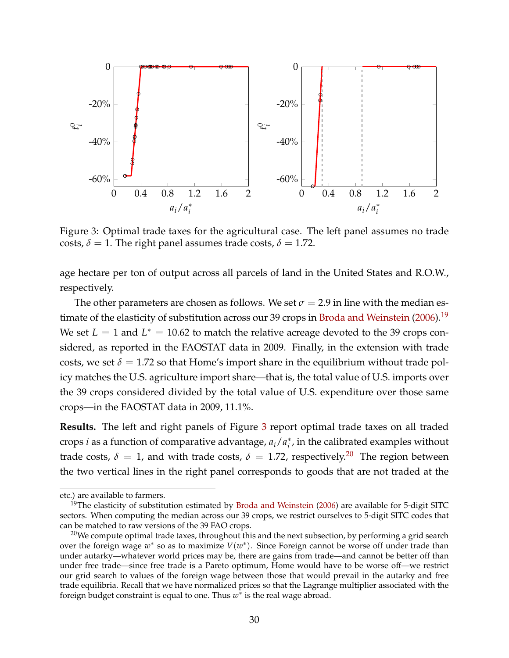<span id="page-30-1"></span>

Figure 3: Optimal trade taxes for the agricultural case. The left panel assumes no trade costs,  $\delta = 1$ . The right panel assumes trade costs,  $\delta = 1.72$ .

age hectare per ton of output across all parcels of land in the United States and R.O.W., respectively.

The other parameters are chosen as follows. We set  $\sigma = 2.9$  in line with the median es-timate of the elasticity of substitution across our 39 crops in [Broda and Weinstein](#page-38-8) [\(2006\)](#page-38-8).<sup>[19](#page-30-0)</sup> We set  $L = 1$  and  $L^* = 10.62$  to match the relative acreage devoted to the 39 crops considered, as reported in the FAOSTAT data in 2009. Finally, in the extension with trade costs, we set  $\delta = 1.72$  so that Home's import share in the equilibrium without trade policy matches the U.S. agriculture import share—that is, the total value of U.S. imports over the 39 crops considered divided by the total value of U.S. expenditure over those same crops—in the FAOSTAT data in 2009, 11.1%.

**Results.** The left and right panels of Figure [3](#page-30-1) report optimal trade taxes on all traded crops *i* as a function of comparative advantage,  $a_i/a_i^*$ , in the calibrated examples without trade costs,  $\delta = 1$ , and with trade costs,  $\delta = 1.72$ , respectively.<sup>[20](#page-30-2)</sup> The region between the two vertical lines in the right panel corresponds to goods that are not traded at the

etc.) are available to farmers.

<span id="page-30-0"></span><sup>&</sup>lt;sup>19</sup>The elasticity of substitution estimated by [Broda and Weinstein](#page-38-8) [\(2006\)](#page-38-8) are available for 5-digit SITC sectors. When computing the median across our 39 crops, we restrict ourselves to 5-digit SITC codes that can be matched to raw versions of the 39 FAO crops.

<span id="page-30-2"></span> $^{20}$ We compute optimal trade taxes, throughout this and the next subsection, by performing a grid search over the foreign wage  $w^*$  so as to maximize  $V(w^*)$ . Since Foreign cannot be worse off under trade than under autarky—whatever world prices may be, there are gains from trade—and cannot be better off than under free trade—since free trade is a Pareto optimum, Home would have to be worse off—we restrict our grid search to values of the foreign wage between those that would prevail in the autarky and free trade equilibria. Recall that we have normalized prices so that the Lagrange multiplier associated with the foreign budget constraint is equal to one. Thus w<sup>∗</sup> is the real wage abroad.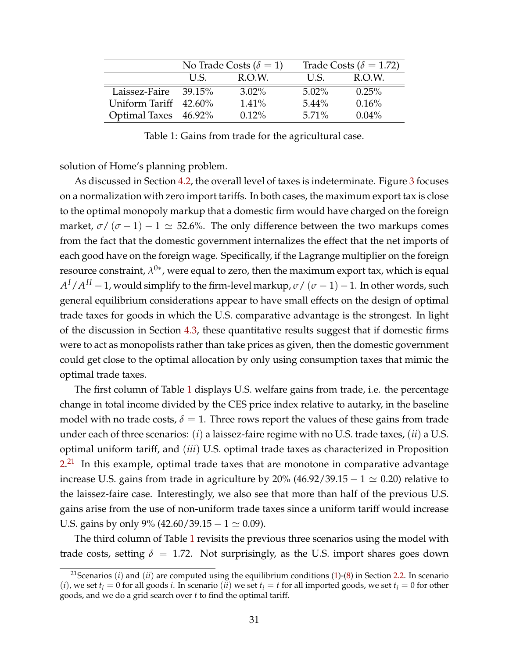<span id="page-31-0"></span>

|                         | No Trade Costs ( $\delta = 1$ ) |          | Trade Costs ( $\delta = 1.72$ ) |          |
|-------------------------|---------------------------------|----------|---------------------------------|----------|
|                         | US.                             | R.O.W.   | U.S.                            | R.O.W.   |
| Laissez-Faire $39.15\%$ |                                 | $3.02\%$ | $5.02\%$                        | $0.25\%$ |
| Uniform Tariff 42.60%   |                                 | $1.41\%$ | $5.44\%$                        | 0.16%    |
| Optimal Taxes 46.92%    |                                 | $0.12\%$ | $5.71\%$                        | $0.04\%$ |

Table 1: Gains from trade for the agricultural case.

solution of Home's planning problem.

As discussed in Section [4.2,](#page-16-2) the overall level of taxes is indeterminate. Figure [3](#page-30-1) focuses on a normalization with zero import tariffs. In both cases, the maximum export tax is close to the optimal monopoly markup that a domestic firm would have charged on the foreign market,  $\sigma/(\sigma-1) - 1 \simeq 52.6\%$ . The only difference between the two markups comes from the fact that the domestic government internalizes the effect that the net imports of each good have on the foreign wage. Specifically, if the Lagrange multiplier on the foreign resource constraint*,*  $\lambda^{0*}$ *,* were equal to zero*,* then the maximum export tax*,* which is equal  $A^{I}/A^{II} - 1$ , would simplify to the firm-level markup,  $\sigma/(\sigma - 1) - 1$ . In other words, such general equilibrium considerations appear to have small effects on the design of optimal trade taxes for goods in which the U.S. comparative advantage is the strongest. In light of the discussion in Section [4.3,](#page-19-0) these quantitative results suggest that if domestic firms were to act as monopolists rather than take prices as given, then the domestic government could get close to the optimal allocation by only using consumption taxes that mimic the optimal trade taxes.

The first column of Table [1](#page-31-0) displays U.S. welfare gains from trade, i.e. the percentage change in total income divided by the CES price index relative to autarky, in the baseline model with no trade costs,  $\delta = 1$ . Three rows report the values of these gains from trade under each of three scenarios: (*i*) a laissez-faire regime with no U.S. trade taxes, (*ii*) a U.S. optimal uniform tariff, and (*iii*) U.S. optimal trade taxes as characterized in Proposition  $2.^{21}$  $2.^{21}$  $2.^{21}$  $2.^{21}$  In this example, optimal trade taxes that are monotone in comparative advantage increase U.S. gains from trade in agriculture by 20% (46.92/39.15  $-1 \simeq 0.20$ ) relative to the laissez-faire case. Interestingly, we also see that more than half of the previous U.S. gains arise from the use of non-uniform trade taxes since a uniform tariff would increase U.S. gains by only 9%  $(42.60/39.15 - 1 \approx 0.09)$ .

The third column of Table [1](#page-31-0) revisits the previous three scenarios using the model with trade costs, setting  $\delta = 1.72$ . Not surprisingly, as the U.S. import shares goes down

<span id="page-31-1"></span><sup>&</sup>lt;sup>21</sup>Scenarios  $(i)$  and  $(ii)$  are computed using the equilibrium conditions  $(1)-(8)$  $(1)-(8)$  $(1)-(8)$  in Section [2.2.](#page-6-6) In scenario (*i*), we set  $t_i = 0$  for all goods *i*. In scenario (*ii*) we set  $t_i = t$  for all imported goods, we set  $t_i = 0$  for other goods, and we do a grid search over *t* to find the optimal tariff.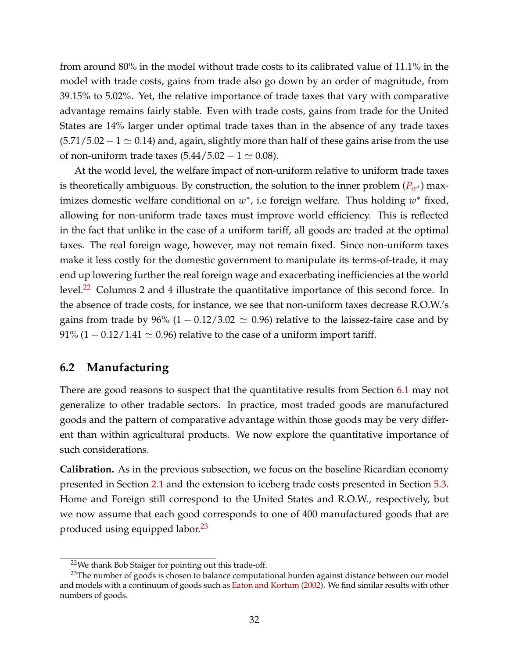from around 80% in the model without trade costs to its calibrated value of 11.1% in the model with trade costs, gains from trade also go down by an order of magnitude, from 39.15% to 5.02%. Yet, the relative importance of trade taxes that vary with comparative advantage remains fairly stable. Even with trade costs, gains from trade for the United States are 14% larger under optimal trade taxes than in the absence of any trade taxes  $(5.71/5.02 - 1 \approx 0.14)$  and, again, slightly more than half of these gains arise from the use of non-uniform trade taxes  $(5.44/5.02 - 1 \approx 0.08)$ .

At the world level, the welfare impact of non-uniform relative to uniform trade taxes is theoretically ambiguous. By construction, the solution to the inner problem  $(P_{w^*})$  $(P_{w^*})$  $(P_{w^*})$  maximizes domestic welfare conditional on *w* ∗ , i.e foreign welfare. Thus holding *w* ∗ fixed, allowing for non-uniform trade taxes must improve world efficiency. This is reflected in the fact that unlike in the case of a uniform tariff, all goods are traded at the optimal taxes. The real foreign wage, however, may not remain fixed. Since non-uniform taxes make it less costly for the domestic government to manipulate its terms-of-trade, it may end up lowering further the real foreign wage and exacerbating inefficiencies at the world level.<sup>[22](#page-32-0)</sup> Columns 2 and 4 illustrate the quantitative importance of this second force. In the absence of trade costs, for instance, we see that non-uniform taxes decrease R.O.W.'s gains from trade by 96% (1 – 0.12/3.02  $\simeq$  0.96) relative to the laissez-faire case and by 91% (1 – 0.12/1.41  $\simeq$  0.96) relative to the case of a uniform import tariff.

### **6.2 Manufacturing**

There are good reasons to suspect that the quantitative results from Section [6.1](#page-29-0) may not generalize to other tradable sectors. In practice, most traded goods are manufactured goods and the pattern of comparative advantage within those goods may be very different than within agricultural products. We now explore the quantitative importance of such considerations.

**Calibration.** As in the previous subsection, we focus on the baseline Ricardian economy presented in Section [2.1](#page-5-3) and the extension to iceberg trade costs presented in Section [5.3.](#page-27-0) Home and Foreign still correspond to the United States and R.O.W., respectively, but we now assume that each good corresponds to one of 400 manufactured goods that are produced using equipped labor.<sup>[23](#page-32-1)</sup>

<span id="page-32-1"></span><span id="page-32-0"></span> $22$ We thank Bob Staiger for pointing out this trade-off.

<sup>&</sup>lt;sup>23</sup>The number of goods is chosen to balance computational burden against distance between our model and models with a continuum of goods such as [Eaton and Kortum](#page-39-2) [\(2002\)](#page-39-2). We find similar results with other numbers of goods.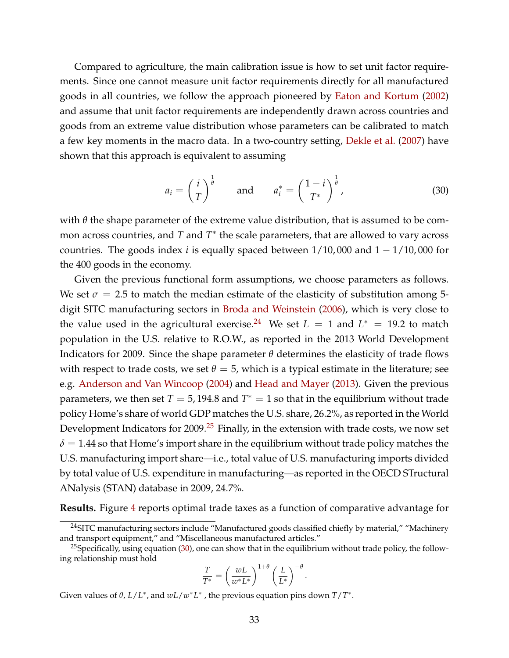Compared to agriculture, the main calibration issue is how to set unit factor requirements. Since one cannot measure unit factor requirements directly for all manufactured goods in all countries, we follow the approach pioneered by [Eaton and Kortum](#page-39-2) [\(2002\)](#page-39-2) and assume that unit factor requirements are independently drawn across countries and goods from an extreme value distribution whose parameters can be calibrated to match a few key moments in the macro data. In a two-country setting, [Dekle et al.](#page-39-9) [\(2007\)](#page-39-9) have shown that this approach is equivalent to assuming

<span id="page-33-2"></span>
$$
a_i = \left(\frac{i}{T}\right)^{\frac{1}{\theta}} \quad \text{and} \quad a_i^* = \left(\frac{1-i}{T^*}\right)^{\frac{1}{\theta}}, \quad (30)
$$

with  $\theta$  the shape parameter of the extreme value distribution, that is assumed to be common across countries, and *T* and *T* ∗ the scale parameters, that are allowed to vary across countries. The goods index *i* is equally spaced between 1/10, 000 and 1 − 1/10, 000 for the 400 goods in the economy.

Given the previous functional form assumptions, we choose parameters as follows. We set  $\sigma = 2.5$  to match the median estimate of the elasticity of substitution among 5digit SITC manufacturing sectors in [Broda and Weinstein](#page-38-8) [\(2006\)](#page-38-8), which is very close to the value used in the agricultural exercise.<sup>[24](#page-33-0)</sup> We set  $L = 1$  and  $L^* = 19.2$  to match population in the U.S. relative to R.O.W., as reported in the 2013 World Development Indicators for 2009. Since the shape parameter *θ* determines the elasticity of trade flows with respect to trade costs, we set  $\theta = 5$ , which is a typical estimate in the literature; see e.g. [Anderson and Van Wincoop](#page-38-9) [\(2004\)](#page-38-9) and [Head and Mayer](#page-40-12) [\(2013\)](#page-40-12). Given the previous parameters, we then set  $T = 5$ , 194.8 and  $T^* = 1$  so that in the equilibrium without trade policy Home's share of world GDP matches the U.S. share, 26.2%, as reported in the World Development Indicators for 2009.<sup>[25](#page-33-1)</sup> Finally, in the extension with trade costs, we now set  $\delta = 1.44$  so that Home's import share in the equilibrium without trade policy matches the U.S. manufacturing import share—i.e., total value of U.S. manufacturing imports divided by total value of U.S. expenditure in manufacturing—as reported in the OECD STructural ANalysis (STAN) database in 2009, 24.7%.

**Results.** Figure [4](#page-34-0) reports optimal trade taxes as a function of comparative advantage for

$$
\frac{T}{T^*} = \left(\frac{wL}{w^*L^*}\right)^{1+\theta} \left(\frac{L}{L^*}\right)^{-\theta}.
$$

Given values of  $\theta$ ,  $L/L^*$ , and  $wL/w^*L^*$  , the previous equation pins down  $T/T^*$ .

<span id="page-33-0"></span><sup>24</sup>SITC manufacturing sectors include "Manufactured goods classified chiefly by material," "Machinery and transport equipment," and "Miscellaneous manufactured articles."

<span id="page-33-1"></span><sup>&</sup>lt;sup>25</sup>Specifically, using equation [\(30\)](#page-33-2), one can show that in the equilibrium without trade policy, the following relationship must hold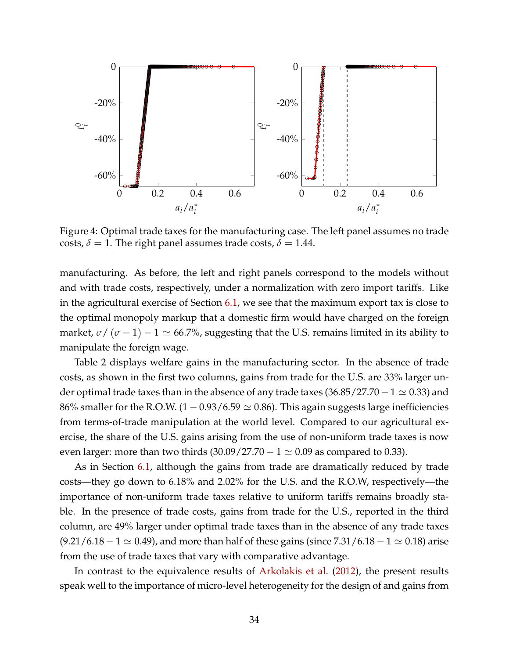<span id="page-34-0"></span>

Figure 4: Optimal trade taxes for the manufacturing case. The left panel assumes no trade costs,  $\delta = 1$ . The right panel assumes trade costs,  $\delta = 1.44$ .

manufacturing. As before, the left and right panels correspond to the models without and with trade costs, respectively, under a normalization with zero import tariffs. Like in the agricultural exercise of Section [6.1,](#page-29-0) we see that the maximum export tax is close to the optimal monopoly markup that a domestic firm would have charged on the foreign market,  $\sigma/(\sigma-1) - 1 \simeq 66.7\%$ , suggesting that the U.S. remains limited in its ability to manipulate the foreign wage.

Table 2 displays welfare gains in the manufacturing sector. In the absence of trade costs, as shown in the first two columns, gains from trade for the U.S. are 33% larger under optimal trade taxes than in the absence of any trade taxes (36.85/27.70 – 1  $\simeq$  0.33) and 86% smaller for the R.O.W.  $(1 - 0.93/6.59 \approx 0.86)$ . This again suggests large inefficiencies from terms-of-trade manipulation at the world level. Compared to our agricultural exercise, the share of the U.S. gains arising from the use of non-uniform trade taxes is now even larger: more than two thirds  $(30.09/27.70 - 1 \approx 0.09$  as compared to 0.33).

As in Section [6.1,](#page-29-0) although the gains from trade are dramatically reduced by trade costs—they go down to 6.18% and 2.02% for the U.S. and the R.O.W, respectively—the importance of non-uniform trade taxes relative to uniform tariffs remains broadly stable. In the presence of trade costs, gains from trade for the U.S., reported in the third column, are 49% larger under optimal trade taxes than in the absence of any trade taxes  $(9.21/6.18 - 1 \simeq 0.49)$ , and more than half of these gains (since 7.31/6.18 – 1  $\simeq 0.18$ ) arise from the use of trade taxes that vary with comparative advantage.

In contrast to the equivalence results of [Arkolakis et al.](#page-38-3) [\(2012\)](#page-38-3), the present results speak well to the importance of micro-level heterogeneity for the design of and gains from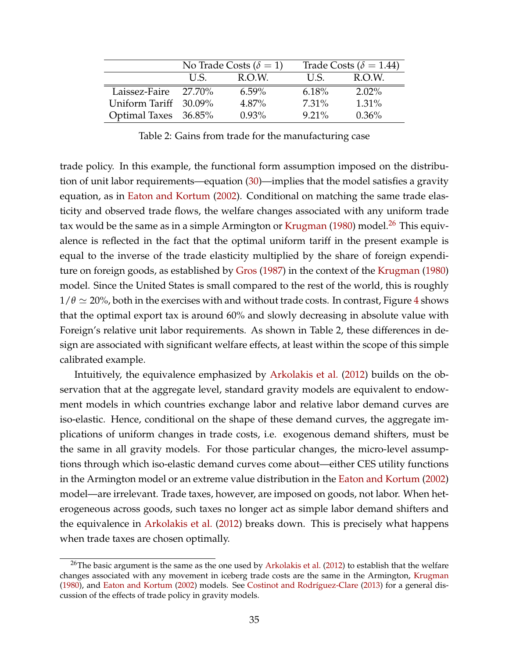|                         | No Trade Costs ( $\delta = 1$ ) |          | Trade Costs ( $\delta = 1.44$ ) |          |
|-------------------------|---------------------------------|----------|---------------------------------|----------|
|                         | U.S.                            | R.O.W.   | US.                             | R.O.W.   |
| Laissez-Faire $27.70\%$ |                                 | $6.59\%$ | $6.18\%$                        | $2.02\%$ |
| Uniform Tariff 30.09%   |                                 | $4.87\%$ | $7.31\%$                        | $1.31\%$ |
| Optimal Taxes 36.85%    |                                 | $0.93\%$ | $9.21\%$                        | $0.36\%$ |

Table 2: Gains from trade for the manufacturing case

trade policy. In this example, the functional form assumption imposed on the distribution of unit labor requirements—equation [\(30\)](#page-33-2)—implies that the model satisfies a gravity equation, as in [Eaton and Kortum](#page-39-2) [\(2002\)](#page-39-2). Conditional on matching the same trade elasticity and observed trade flows, the welfare changes associated with any uniform trade tax would be the same as in a simple Armington or [Krugman](#page-40-13) [\(1980\)](#page-40-13) model.<sup>[26](#page-35-0)</sup> This equivalence is reflected in the fact that the optimal uniform tariff in the present example is equal to the inverse of the trade elasticity multiplied by the share of foreign expenditure on foreign goods, as established by [Gros](#page-40-11) [\(1987\)](#page-40-11) in the context of the [Krugman](#page-40-13) [\(1980\)](#page-40-13) model. Since the United States is small compared to the rest of the world, this is roughly  $1/\theta \simeq 20\%$ , both in the exercises with and without trade costs. In contrast, Figure [4](#page-34-0) shows that the optimal export tax is around 60% and slowly decreasing in absolute value with Foreign's relative unit labor requirements. As shown in Table 2, these differences in design are associated with significant welfare effects, at least within the scope of this simple calibrated example.

Intuitively, the equivalence emphasized by [Arkolakis et al.](#page-38-3) [\(2012\)](#page-38-3) builds on the observation that at the aggregate level, standard gravity models are equivalent to endowment models in which countries exchange labor and relative labor demand curves are iso-elastic. Hence, conditional on the shape of these demand curves, the aggregate implications of uniform changes in trade costs, i.e. exogenous demand shifters, must be the same in all gravity models. For those particular changes, the micro-level assumptions through which iso-elastic demand curves come about—either CES utility functions in the Armington model or an extreme value distribution in the [Eaton and Kortum](#page-39-2) [\(2002\)](#page-39-2) model—are irrelevant. Trade taxes, however, are imposed on goods, not labor. When heterogeneous across goods, such taxes no longer act as simple labor demand shifters and the equivalence in [Arkolakis et al.](#page-38-3) [\(2012\)](#page-38-3) breaks down. This is precisely what happens when trade taxes are chosen optimally.

<span id="page-35-0"></span><sup>&</sup>lt;sup>26</sup>The basic argument is the same as the one used by [Arkolakis et al.](#page-38-3) [\(2012\)](#page-38-3) to establish that the welfare changes associated with any movement in iceberg trade costs are the same in the Armington, [Krugman](#page-40-13) [\(1980\)](#page-40-13), and [Eaton and Kortum](#page-39-2) [\(2002\)](#page-39-2) models. See [Costinot and Rodríguez-Clare](#page-39-10) [\(2013\)](#page-39-10) for a general discussion of the effects of trade policy in gravity models.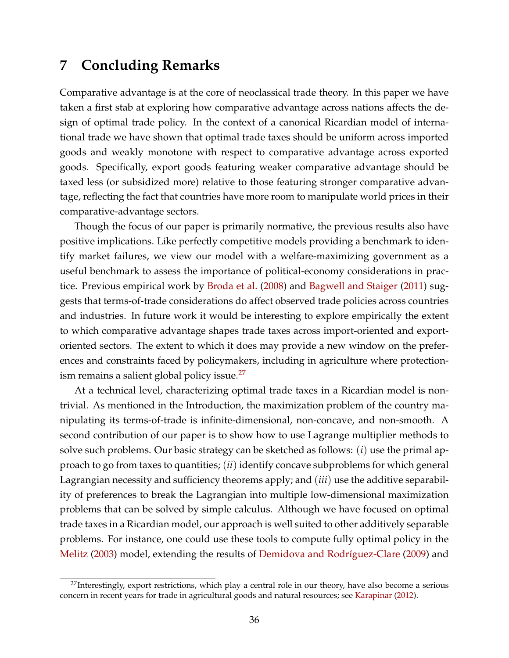### <span id="page-36-0"></span>**7 Concluding Remarks**

Comparative advantage is at the core of neoclassical trade theory. In this paper we have taken a first stab at exploring how comparative advantage across nations affects the design of optimal trade policy. In the context of a canonical Ricardian model of international trade we have shown that optimal trade taxes should be uniform across imported goods and weakly monotone with respect to comparative advantage across exported goods. Specifically, export goods featuring weaker comparative advantage should be taxed less (or subsidized more) relative to those featuring stronger comparative advantage, reflecting the fact that countries have more room to manipulate world prices in their comparative-advantage sectors.

Though the focus of our paper is primarily normative, the previous results also have positive implications. Like perfectly competitive models providing a benchmark to identify market failures, we view our model with a welfare-maximizing government as a useful benchmark to assess the importance of political-economy considerations in practice. Previous empirical work by [Broda et al.](#page-38-10) [\(2008\)](#page-38-10) and [Bagwell and Staiger](#page-38-11) [\(2011\)](#page-38-11) suggests that terms-of-trade considerations do affect observed trade policies across countries and industries. In future work it would be interesting to explore empirically the extent to which comparative advantage shapes trade taxes across import-oriented and exportoriented sectors. The extent to which it does may provide a new window on the preferences and constraints faced by policymakers, including in agriculture where protection-ism remains a salient global policy issue.<sup>[27](#page-36-1)</sup>

At a technical level, characterizing optimal trade taxes in a Ricardian model is nontrivial. As mentioned in the Introduction, the maximization problem of the country manipulating its terms-of-trade is infinite-dimensional, non-concave, and non-smooth. A second contribution of our paper is to show how to use Lagrange multiplier methods to solve such problems. Our basic strategy can be sketched as follows: (*i*) use the primal approach to go from taxes to quantities; (*ii*) identify concave subproblems for which general Lagrangian necessity and sufficiency theorems apply; and (*iii*) use the additive separability of preferences to break the Lagrangian into multiple low-dimensional maximization problems that can be solved by simple calculus. Although we have focused on optimal trade taxes in a Ricardian model, our approach is well suited to other additively separable problems. For instance, one could use these tools to compute fully optimal policy in the [Melitz](#page-40-9) [\(2003\)](#page-40-9) model, extending the results of [Demidova and Rodríguez-Clare](#page-39-11) [\(2009\)](#page-39-11) and

<span id="page-36-1"></span> $27$ Interestingly, export restrictions, which play a central role in our theory, have also become a serious concern in recent years for trade in agricultural goods and natural resources; see [Karapinar](#page-40-14) [\(2012\)](#page-40-14).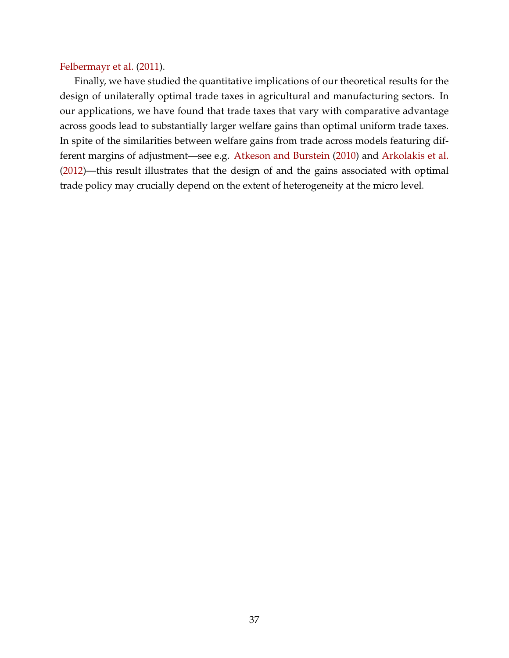#### [Felbermayr et al.](#page-39-12) [\(2011\)](#page-39-12).

Finally, we have studied the quantitative implications of our theoretical results for the design of unilaterally optimal trade taxes in agricultural and manufacturing sectors. In our applications, we have found that trade taxes that vary with comparative advantage across goods lead to substantially larger welfare gains than optimal uniform trade taxes. In spite of the similarities between welfare gains from trade across models featuring different margins of adjustment—see e.g. [Atkeson and Burstein](#page-38-12) [\(2010\)](#page-38-12) and [Arkolakis et al.](#page-38-3) [\(2012\)](#page-38-3)—this result illustrates that the design of and the gains associated with optimal trade policy may crucially depend on the extent of heterogeneity at the micro level.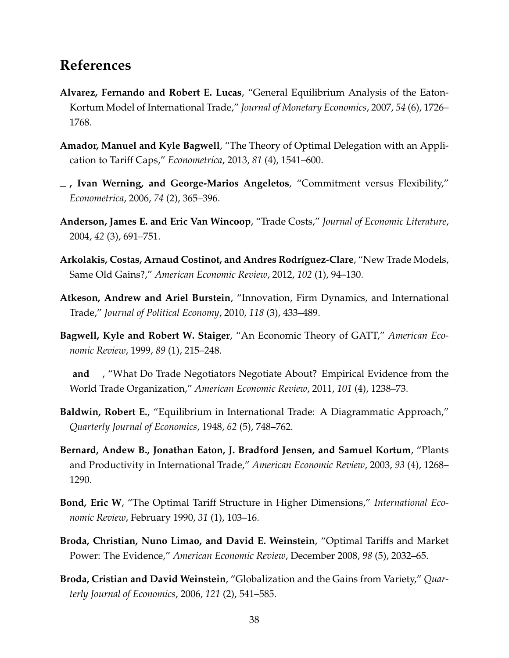### **References**

- <span id="page-38-0"></span>**Alvarez, Fernando and Robert E. Lucas**, "General Equilibrium Analysis of the Eaton-Kortum Model of International Trade," *Journal of Monetary Economics*, 2007, *54* (6), 1726– 1768.
- <span id="page-38-6"></span>**Amador, Manuel and Kyle Bagwell**, "The Theory of Optimal Delegation with an Application to Tariff Caps," *Econometrica*, 2013, *81* (4), 1541–600.
- <span id="page-38-5"></span>**, Ivan Werning, and George-Marios Angeletos**, "Commitment versus Flexibility," *Econometrica*, 2006, *74* (2), 365–396.
- <span id="page-38-9"></span>**Anderson, James E. and Eric Van Wincoop**, "Trade Costs," *Journal of Economic Literature*, 2004, *42* (3), 691–751.
- <span id="page-38-3"></span>**Arkolakis, Costas, Arnaud Costinot, and Andres Rodríguez-Clare**, "New Trade Models, Same Old Gains?," *American Economic Review*, 2012, *102* (1), 94–130.
- <span id="page-38-12"></span>**Atkeson, Andrew and Ariel Burstein**, "Innovation, Firm Dynamics, and International Trade," *Journal of Political Economy*, 2010, *118* (3), 433–489.
- <span id="page-38-2"></span>**Bagwell, Kyle and Robert W. Staiger**, "An Economic Theory of GATT," *American Economic Review*, 1999, *89* (1), 215–248.
- <span id="page-38-11"></span> $\Box$  and  $\Box$ , "What Do Trade Negotiators Negotiate About? Empirical Evidence from the World Trade Organization," *American Economic Review*, 2011, *101* (4), 1238–73.
- <span id="page-38-7"></span>**Baldwin, Robert E.**, "Equilibrium in International Trade: A Diagrammatic Approach," *Quarterly Journal of Economics*, 1948, *62* (5), 748–762.
- <span id="page-38-4"></span>**Bernard, Andew B., Jonathan Eaton, J. Bradford Jensen, and Samuel Kortum**, "Plants and Productivity in International Trade," *American Economic Review*, 2003, *93* (4), 1268– 1290.
- <span id="page-38-1"></span>**Bond, Eric W**, "The Optimal Tariff Structure in Higher Dimensions," *International Economic Review*, February 1990, *31* (1), 103–16.
- <span id="page-38-10"></span>**Broda, Christian, Nuno Limao, and David E. Weinstein**, "Optimal Tariffs and Market Power: The Evidence," *American Economic Review*, December 2008, *98* (5), 2032–65.
- <span id="page-38-8"></span>**Broda, Cristian and David Weinstein**, "Globalization and the Gains from Variety," *Quarterly Journal of Economics*, 2006, *121* (2), 541–585.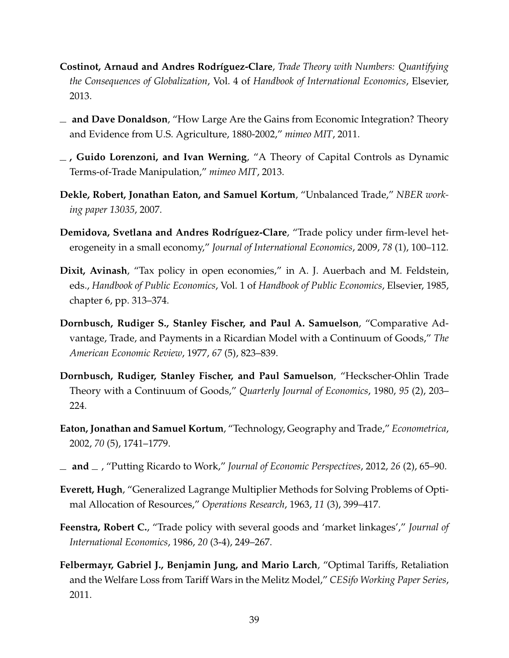- <span id="page-39-10"></span>**Costinot, Arnaud and Andres Rodríguez-Clare**, *Trade Theory with Numbers: Quantifying the Consequences of Globalization*, Vol. 4 of *Handbook of International Economics*, Elsevier, 2013.
- <span id="page-39-8"></span>**and Dave Donaldson**, "How Large Are the Gains from Economic Integration? Theory and Evidence from U.S. Agriculture, 1880-2002," *mimeo MIT*, 2011.
- <span id="page-39-5"></span>**, Guido Lorenzoni, and Ivan Werning**, "A Theory of Capital Controls as Dynamic Terms-of-Trade Manipulation," *mimeo MIT*, 2013.
- <span id="page-39-9"></span>**Dekle, Robert, Jonathan Eaton, and Samuel Kortum**, "Unbalanced Trade," *NBER working paper 13035*, 2007.
- <span id="page-39-11"></span>**Demidova, Svetlana and Andres Rodríguez-Clare**, "Trade policy under firm-level heterogeneity in a small economy," *Journal of International Economics*, 2009, *78* (1), 100–112.
- <span id="page-39-3"></span>**Dixit, Avinash**, "Tax policy in open economies," in A. J. Auerbach and M. Feldstein, eds., *Handbook of Public Economics*, Vol. 1 of *Handbook of Public Economics*, Elsevier, 1985, chapter 6, pp. 313–374.
- <span id="page-39-1"></span>**Dornbusch, Rudiger S., Stanley Fischer, and Paul A. Samuelson**, "Comparative Advantage, Trade, and Payments in a Ricardian Model with a Continuum of Goods," *The American Economic Review*, 1977, *67* (5), 823–839.
- <span id="page-39-7"></span>**Dornbusch, Rudiger, Stanley Fischer, and Paul Samuelson**, "Heckscher-Ohlin Trade Theory with a Continuum of Goods," *Quarterly Journal of Economics*, 1980, *95* (2), 203– 224.
- <span id="page-39-2"></span>**Eaton, Jonathan and Samuel Kortum**, "Technology, Geography and Trade," *Econometrica*, 2002, *70* (5), 1741–1779.
- <span id="page-39-0"></span>**and** , "Putting Ricardo to Work," *Journal of Economic Perspectives*, 2012, *26* (2), 65–90.
- <span id="page-39-6"></span>**Everett, Hugh**, "Generalized Lagrange Multiplier Methods for Solving Problems of Optimal Allocation of Resources," *Operations Research*, 1963, *11* (3), 399–417.
- <span id="page-39-4"></span>**Feenstra, Robert C.**, "Trade policy with several goods and 'market linkages'," *Journal of International Economics*, 1986, *20* (3-4), 249–267.
- <span id="page-39-12"></span>**Felbermayr, Gabriel J., Benjamin Jung, and Mario Larch**, "Optimal Tariffs, Retaliation and the Welfare Loss from Tariff Wars in the Melitz Model," *CESifo Working Paper Series*, 2011.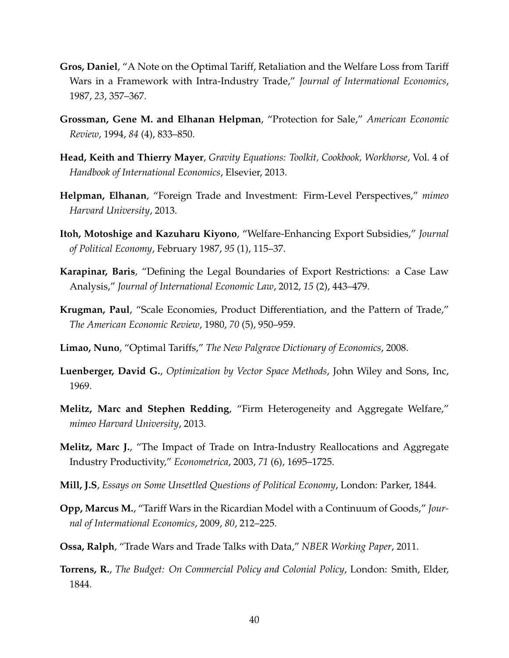- <span id="page-40-11"></span>**Gros, Daniel**, "A Note on the Optimal Tariff, Retaliation and the Welfare Loss from Tariff Wars in a Framework with Intra-Industry Trade," *Journal of Intermational Economics*, 1987, *23*, 357–367.
- <span id="page-40-0"></span>**Grossman, Gene M. and Elhanan Helpman**, "Protection for Sale," *American Economic Review*, 1994, *84* (4), 833–850.
- <span id="page-40-12"></span>**Head, Keith and Thierry Mayer**, *Gravity Equations: Toolkit, Cookbook, Workhorse*, Vol. 4 of *Handbook of International Economics*, Elsevier, 2013.
- <span id="page-40-7"></span>**Helpman, Elhanan**, "Foreign Trade and Investment: Firm-Level Perspectives," *mimeo Harvard University*, 2013.
- <span id="page-40-4"></span>**Itoh, Motoshige and Kazuharu Kiyono**, "Welfare-Enhancing Export Subsidies," *Journal of Political Economy*, February 1987, *95* (1), 115–37.
- <span id="page-40-14"></span>**Karapinar, Baris**, "Defining the Legal Boundaries of Export Restrictions: a Case Law Analysis," *Journal of International Economic Law*, 2012, *15* (2), 443–479.
- <span id="page-40-13"></span>**Krugman, Paul**, "Scale Economies, Product Differentiation, and the Pattern of Trade," *The American Economic Review*, 1980, *70* (5), 950–959.
- <span id="page-40-5"></span>**Limao, Nuno**, "Optimal Tariffs," *The New Palgrave Dictionary of Economics*, 2008.
- <span id="page-40-10"></span>**Luenberger, David G.**, *Optimization by Vector Space Methods*, John Wiley and Sons, Inc, 1969.
- <span id="page-40-8"></span>**Melitz, Marc and Stephen Redding**, "Firm Heterogeneity and Aggregate Welfare," *mimeo Harvard University*, 2013.
- <span id="page-40-9"></span>**Melitz, Marc J.**, "The Impact of Trade on Intra-Industry Reallocations and Aggregate Industry Productivity," *Econometrica*, 2003, *71* (6), 1695–1725.
- <span id="page-40-2"></span>**Mill, J.S**, *Essays on Some Unsettled Questions of Political Economy*, London: Parker, 1844.
- <span id="page-40-6"></span>**Opp, Marcus M.**, "Tariff Wars in the Ricardian Model with a Continuum of Goods," *Journal of Intermational Economics*, 2009, *80*, 212–225.
- <span id="page-40-3"></span>**Ossa, Ralph**, "Trade Wars and Trade Talks with Data," *NBER Working Paper*, 2011.
- <span id="page-40-1"></span>**Torrens, R.**, *The Budget: On Commercial Policy and Colonial Policy*, London: Smith, Elder, 1844.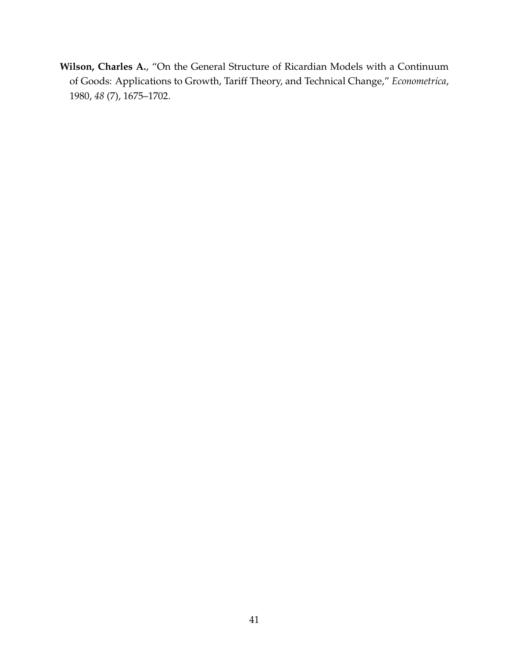<span id="page-41-0"></span>**Wilson, Charles A.**, "On the General Structure of Ricardian Models with a Continuum of Goods: Applications to Growth, Tariff Theory, and Technical Change," *Econometrica*, 1980, *48* (7), 1675–1702.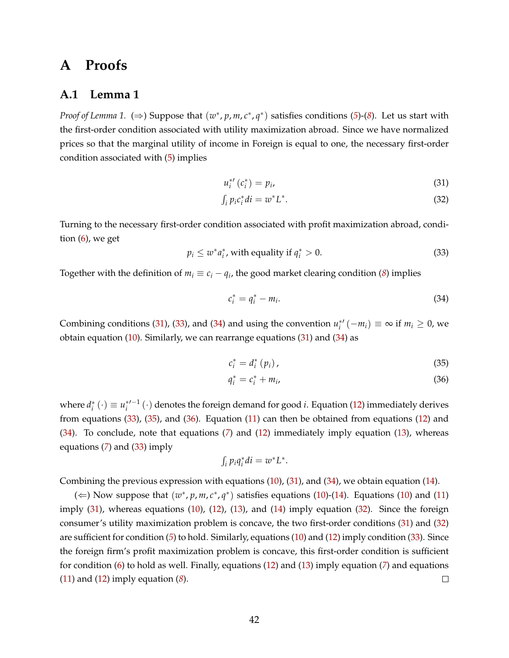### <span id="page-42-0"></span>**A Proofs**

#### **A.1 Lemma 1**

*Proof of Lemma 1.* ( $\Rightarrow$ ) Suppose that  $(w^*, p, m, c^*, q^*)$  satisfies conditions ([5](#page-6-2))-([8](#page-6-1)). Let us start with the first-order condition associated with utility maximization abroad. Since we have normalized prices so that the marginal utility of income in Foreign is equal to one, the necessary first-order condition associated with [\(5\)](#page-6-2) implies

<span id="page-42-6"></span><span id="page-42-1"></span>
$$
u_i^{*'}(c_i^*) = p_i,\tag{31}
$$

$$
\int_{i} p_{i} c_{i}^{*} di = w^{*} L^{*}.
$$

Turning to the necessary first-order condition associated with profit maximization abroad, condition  $(6)$ , we get

<span id="page-42-2"></span>
$$
p_i \le w^* a_i^*, \text{ with equality if } q_i^* > 0. \tag{33}
$$

Together with the definition of  $m_i \equiv c_i - q_i$ , the good market clearing condition ([8](#page-6-1)) implies

<span id="page-42-3"></span>
$$
c_i^* = q_i^* - m_i. \tag{34}
$$

Combining conditions [\(31\)](#page-42-1), [\(33\)](#page-42-2), and [\(34\)](#page-42-3) and using the convention  $u_i^{*'}(-m_i) \equiv \infty$  if  $m_i \geq 0$ , we obtain equation [\(10\)](#page-8-5). Similarly, we can rearrange equations [\(31\)](#page-42-1) and [\(34\)](#page-42-3) as

<span id="page-42-5"></span><span id="page-42-4"></span>
$$
c_i^* = d_i^* \left( p_i \right), \tag{35}
$$

$$
q_i^* = c_i^* + m_i, \t\t(36)
$$

where  $d_i^*$   $(\cdot) \equiv u_i^{*/2}$   $(\cdot)$  denotes the foreign demand for good *i*. Equation [\(12\)](#page-8-4) immediately derives from equations [\(33\)](#page-42-2), [\(35\)](#page-42-4), and [\(36\)](#page-42-5). Equation [\(11\)](#page-8-6) can then be obtained from equations [\(12\)](#page-8-4) and [\(34\)](#page-42-3). To conclude, note that equations (*[7](#page-6-2)*) and [\(12\)](#page-8-4) immediately imply equation [\(13\)](#page-8-3), whereas equations (*[7](#page-6-2)*) and [\(33\)](#page-42-2) imply

$$
\int_i p_i q_i^* di = w^* L^*.
$$

Combining the previous expression with equations [\(10\)](#page-8-5), [\(31\)](#page-42-1), and [\(34\)](#page-42-3), we obtain equation [\(14\)](#page-8-3).

(←) Now suppose that  $(w^*, p, m, c^*, q^*)$  satisfies equations [\(10\)](#page-8-5)-[\(14\)](#page-8-3). Equations (10) and [\(11\)](#page-8-6) imply  $(31)$ , whereas equations  $(10)$ ,  $(12)$ ,  $(13)$ , and  $(14)$  imply equation  $(32)$ . Since the foreign consumer's utility maximization problem is concave, the two first-order conditions [\(31\)](#page-42-1) and [\(32\)](#page-42-6) are sufficient for condition (*[5](#page-6-2)*) to hold. Similarly, equations [\(10\)](#page-8-5) and [\(12\)](#page-8-4) imply condition [\(33\)](#page-42-2). Since the foreign firm's profit maximization problem is concave, this first-order condition is sufficient for condition [\(6\)](#page-6-2) to hold as well. Finally, equations [\(12\)](#page-8-4) and [\(13\)](#page-8-3) imply equation (*[7](#page-6-2)*) and equations [\(11\)](#page-8-6) and [\(12\)](#page-8-4) imply equation (*[8](#page-6-1)*).  $\Box$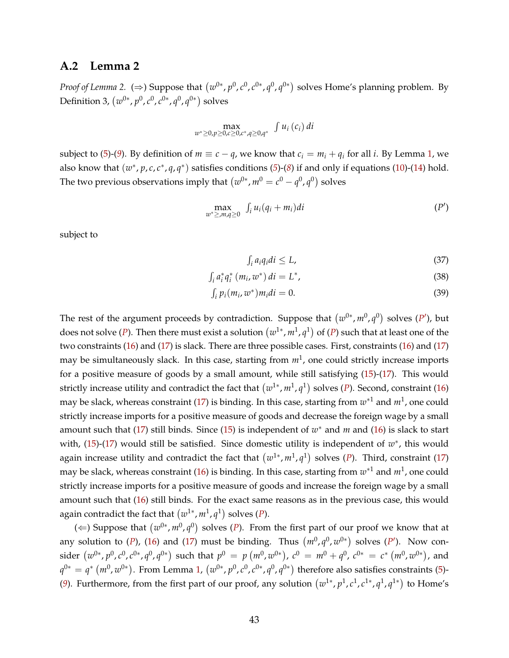#### **A.2 Lemma 2**

*Proof of Lemma 2.* ( $\Rightarrow$ ) Suppose that  $(w^{0*}, p^0, c^0, c^{0*}, q^0, q^{0*})$  solves Home's planning problem. By Definition 3,  $(w^{0*}, p^{0}, c^{0}, c^{0*}, q^{0}, q^{0*})$  solves

$$
\max_{w^*\geq 0, p\geq 0, c\geq 0, c^*, q\geq 0, q^*} \int u_i(c_i) \, di
$$

subject to [\(5\)](#page-6-2)-([9](#page-8-1)). By definition of  $m \equiv c - q$ , we know that  $c_i = m_i + q_i$  for all *i*. By Lemma [1,](#page-8-2) we also know that  $(w^*, p, c, c^*, q, q^*)$  satisfies conditions ([5](#page-6-2))-([8](#page-6-1)) if and only if equations [\(10\)](#page-8-5)-[\(14\)](#page-8-3) hold. The two previous observations imply that  $(w^{0*}, m^0 = c^0 - q^0, q^0)$  solves

$$
\max_{w^* \ge m, q \ge 0} \int_i u_i (q_i + m_i) di \tag{P'}
$$

subject to

<span id="page-43-0"></span>
$$
\int_{i} a_{i} q_{i} di \le L,
$$
\n(37)

$$
\int_{i} a_{i}^{*} q_{i}^{*} (m_{i}, w^{*}) di = L^{*}, \qquad (38)
$$

$$
\int_{i} p_i(m_i, w^*) m_i di = 0. \tag{39}
$$

The rest of the argument proceeds by contradiction. Suppose that  $(w^{0*}, m^0, q^0)$  solves ([P](#page-43-0)'), but does not solve (*[P](#page-9-1)*). Then there must exist a solution  $(w^{1*},m^{1},q^{1})$  of (*P*) such that at least one of the two constraints [\(16\)](#page-9-3) and [\(17\)](#page-9-4) is slack. There are three possible cases. First, constraints [\(16\)](#page-9-3) and [\(17\)](#page-9-4) may be simultaneously slack. In this case, starting from *m*<sup>1</sup> , one could strictly increase imports for a positive measure of goods by a small amount, while still satisfying [\(15\)](#page-9-2)-[\(17\)](#page-9-4). This would strictly increase utility and contradict the fact that  $(w^{1*}, m^1, q^1)$  solves ([P](#page-9-1)). Second, constraint [\(16\)](#page-9-3) may be slack, whereas constraint [\(17\)](#page-9-4) is binding. In this case, starting from *w* <sup>∗</sup><sup>1</sup> and *m*<sup>1</sup> , one could strictly increase imports for a positive measure of goods and decrease the foreign wage by a small amount such that [\(17\)](#page-9-4) still binds. Since [\(15\)](#page-9-2) is independent of *w* ∗ and *m* and [\(16\)](#page-9-3) is slack to start with,  $(15)$ - $(17)$  would still be satisfied. Since domestic utility is independent of  $w^*$ , this would again increase utility and contradict the fact that  $(w^{1*}, m^1, q^1)$  solves ([P](#page-9-1)). Third, constraint [\(17\)](#page-9-4) may be slack, whereas constraint [\(16\)](#page-9-3) is binding. In this case, starting from *w* <sup>∗</sup><sup>1</sup> and *m*<sup>1</sup> , one could strictly increase imports for a positive measure of goods and increase the foreign wage by a small amount such that [\(16\)](#page-9-3) still binds. For the exact same reasons as in the previous case, this would again contradict the fact that  $(w^{1*}, m^1, q^1)$  solves ([P](#page-9-1)).

(←) Suppose that  $(w^{0*}, m^0, q^0)$  solves ([P](#page-9-1)). From the first part of our proof we know that at any solution to ([P](#page-43-0)), [\(16\)](#page-9-3) and [\(17\)](#page-9-4) must be binding. Thus  $(m^0, q^0, w^{0*})$  solves (P'). Now consider  $(w^{0*}, p^0, c^0, c^{0*}, q^0, q^{0*})$  such that  $p^0 = p(m^0, w^{0*})$ ,  $c^0 = m^0 + q^0$ ,  $c^{0*} = c^* (m^0, w^{0*})$ , and  $q^{0*}=q^*$   $(m^0,w^{0*})$ . From Lemma [1,](#page-8-2)  $(w^{0*},p^0,c^0,c^{0*},q^0,q^{0*})$  therefore also satisfies constraints [\(5\)](#page-6-2)-([9](#page-8-1)). Furthermore, from the first part of our proof, any solution  $(w^{1*}, p^{1}, c^{1}, c^{1*}, q^{1}, q^{1*})$  to Home's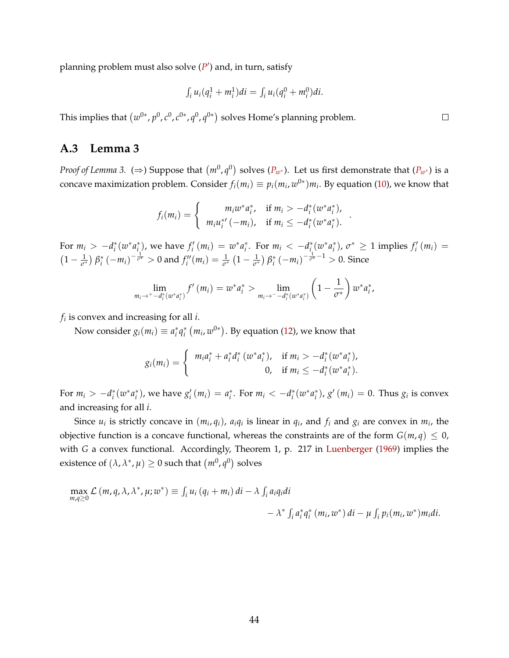planning problem must also solve ([P](#page-43-0)') and, in turn, satisfy

$$
\int_i u_i (q_i^1 + m_i^1) \, di = \int_i u_i (q_i^0 + m_i^0) \, di.
$$

This implies that  $(w^{0*}, p^0, c^0, c^{0*}, q^0, q^{0*})$  solves Home's planning problem.

#### **A.3 Lemma 3**

*[P](#page-10-0)roof of Lemma 3.* ( $\Rightarrow$ ) Suppose that  $(m^0, q^0)$  solves ( $P_{w^*}$ ). Let us first demonstrate that ( $P_{w^*}$ ) is a concave maximization problem. Consider  $f_i(m_i) \equiv p_i(m_i, w^{0*})m_i$ . By equation [\(10\)](#page-8-5), we know that

$$
f_i(m_i) = \begin{cases} m_i w^* a_i^*, & \text{if } m_i > -d_i^*(w^* a_i^*), \\ m_i u_i^{*'}(-m_i), & \text{if } m_i \leq -d_i^*(w^* a_i^*). \end{cases}
$$

.

For  $m_i > -d_i^*(w^*a_{i_i}^*)$ , we have  $f'_i(m_i) = w^*a_i^*$ . For  $m_i < -d_i^*(w^*a_i^*)$ ,  $\sigma^* \ge 1$  implies  $f'_i(m_i) =$  $\left(1-\frac{1}{\sigma^*}\right)\beta_i^*\left(-m_i\right)^{-\frac{1}{\sigma^*}}>0$  and  $f_i''(m_i)=\frac{1}{\sigma^*}\left(1-\frac{1}{\sigma^*}\right)\beta_i^*\left(-m_i\right)^{-\frac{1}{\sigma^*}-1}>0$ . Since

$$
\lim_{m_i\to^+-d_i^*(w^*a_i^*)} f'(m_i)=w^*a_i^*> \lim_{m_i\to^--d_i^*(w^*a_i^*)} \left(1-\frac{1}{\sigma^*}\right)w^*a_i^*,
$$

*fi* is convex and increasing for all *i*.

Now consider  $g_i(m_i) \equiv a_i^* q_i^* (m_i, w^{0*})$ . By equation [\(12\)](#page-8-4), we know that

$$
g_i(m_i) = \begin{cases} m_i a_i^* + a_i^* d_i^* (w^* a_i^*), & \text{if } m_i > -d_i^* (w^* a_i^*), \\ 0, & \text{if } m_i \leq -d_i^* (w^* a_i^*). \end{cases}
$$

For  $m_i > -d_i^*(w^*a_i^*)$ , we have  $g_i'(m_i) = a_i^*$ . For  $m_i < -d_i^*(w^*a_i^*)$ ,  $g'(m_i) = 0$ . Thus  $g_i$  is convex and increasing for all *i*.

Since  $u_i$  is strictly concave in  $(m_i, q_i)$ ,  $a_i q_i$  is linear in  $q_i$ , and  $f_i$  and  $g_i$  are convex in  $m_i$ , the objective function is a concave functional, whereas the constraints are of the form  $G(m, q) \leq 0$ , with *G* a convex functional. Accordingly, Theorem 1, p. 217 in [Luenberger](#page-40-10) [\(1969\)](#page-40-10) implies the existence of  $(\lambda, \lambda^*, \mu) \ge 0$  such that  $(m^0, q^0)$  solves

$$
\max_{m,q\geq 0} \mathcal{L}(m,q,\lambda,\lambda^*,\mu;w^*) \equiv \int_i u_i (q_i+m_i) di - \lambda \int_i a_i q_i di
$$
  
-  $\lambda^* \int_i a_i^* q_i^* (m_i,w^*) di - \mu \int_i p_i (m_i,w^*) m_i di.$ 

 $\Box$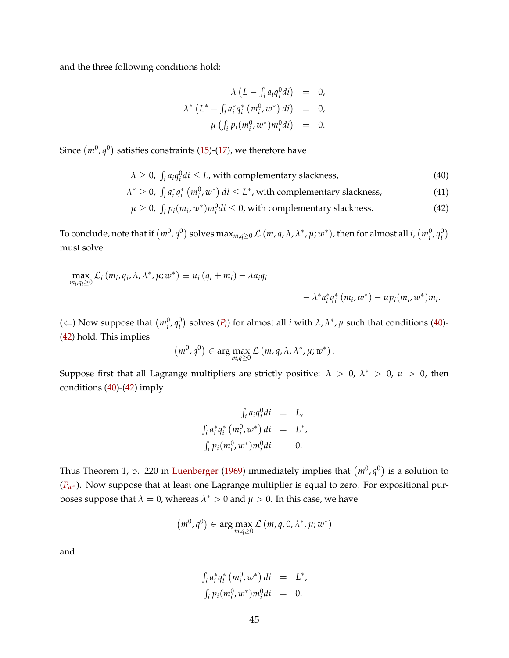and the three following conditions hold:

<span id="page-45-1"></span><span id="page-45-0"></span>
$$
\lambda \left( L - \int_i a_i q_i^0 di \right) = 0,
$$
  

$$
\lambda^* \left( L^* - \int_i a_i^* q_i^* \left( m_i^0, w^* \right) di \right) = 0,
$$
  

$$
\mu \left( \int_i p_i (m_i^0, w^*) m_i^0 di \right) = 0.
$$

Since  $(m^0, q^0)$  satisfies constraints [\(15\)](#page-9-2)-[\(17\)](#page-9-4), we therefore have

$$
\lambda \ge 0, \int_{i} a_{i} q_{i}^{0} di \le L, \text{ with complementary slackness}, \tag{40}
$$

$$
\lambda^* \ge 0, \int_i a_i^* q_i^* \left( m_i^0, w^* \right) di \le L^*, \text{ with complementary slackness}, \tag{41}
$$

$$
\mu \ge 0, \int_{i} p_{i}(m_{i}, w^{*}) m_{i}^{0} di \le 0, \text{ with complementary slackness.}
$$
\n(42)

To conclude, note that if  $(m^0, q^0)$  solves  $\max_{m,q\geq 0} \mathcal{L}(m,q,\lambda,\lambda^*,\mu;w^*)$ , then for almost all *i*,  $(m^0_i,q^0_i)$ must solve

$$
\max_{m_i, q_i \geq 0} \mathcal{L}_i(m_i, q_i, \lambda, \lambda^*, \mu; w^*) \equiv u_i(q_i + m_i) - \lambda a_i q_i
$$
  
-  $\lambda^* a_i^* q_i^* (m_i, w^*) - \mu p_i(m_i, w^*) m_i.$ 

 $(\Leftarrow)$  Now suppose that  $(m_i^0, q_i^0)$  solves  $(P_i)$  $(P_i)$  $(P_i)$  for almost all *i* with  $\lambda, \lambda^*, \mu$  such that conditions [\(40\)](#page-45-0)-[\(42\)](#page-45-1) hold. This implies

$$
(m^0, q^0) \in \arg\max_{m,q \geq 0} \mathcal{L}(m, q, \lambda, \lambda^*, \mu; w^*).
$$

Suppose first that all Lagrange multipliers are strictly positive:  $\lambda > 0$ ,  $\lambda^* > 0$ ,  $\mu > 0$ , then conditions  $(40)-(42)$  $(40)-(42)$  $(40)-(42)$  imply

$$
\int_i a_i q_i^0 di = L,
$$
  
\n
$$
\int_i a_i^* q_i^* (m_i^0, w^*) di = L^*,
$$
  
\n
$$
\int_i p_i (m_i^0, w^*) m_i^0 di = 0.
$$

Thus Theorem 1, p. 220 in [Luenberger](#page-40-10) [\(1969\)](#page-40-10) immediately implies that  $(m^0, q^0)$  is a solution to (*[P](#page-10-0)w*<sup>∗</sup> ). Now suppose that at least one Lagrange multiplier is equal to zero. For expositional purposes suppose that  $\lambda = 0$ , whereas  $\lambda^* > 0$  and  $\mu > 0$ . In this case, we have

$$
(m^0, q^0) \in \arg\max_{m,q \geq 0} \mathcal{L}(m, q, 0, \lambda^*, \mu; w^*)
$$

and

$$
\int_{i} a_{i}^{*} q_{i}^{*} (m_{i}^{0}, w^{*}) di = L^{*}, \n\int_{i} p_{i} (m_{i}^{0}, w^{*}) m_{i}^{0} di = 0.
$$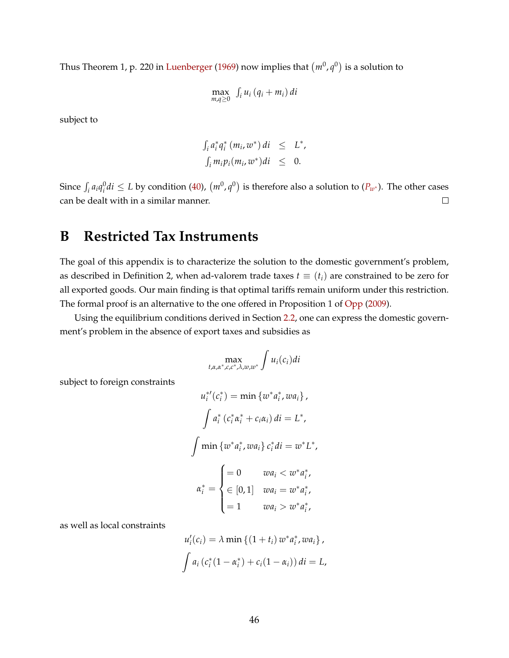Thus Theorem 1, p. 220 in [Luenberger](#page-40-10) [\(1969\)](#page-40-10) now implies that  $(m^0, q^0)$  is a solution to

$$
\max_{m,q\geq 0} \ \int_i u_i \left( q_i + m_i \right) di
$$

subject to

$$
\int_i a_i^* q_i^* (m_i, w^*) \, di \leq L^*,
$$
  

$$
\int_i m_i p_i (m_i, w^*) \, di \leq 0.
$$

Since  $\int_i a_i q_i^0 di \leq L$  by condition [\(40\)](#page-45-0),  $(m^0, q^0)$  is therefore also a solution to  $(P_{w^*})$  $(P_{w^*})$  $(P_{w^*})$ . The other cases can be dealt with in a similar manner.  $\Box$ 

## <span id="page-46-0"></span>**B Restricted Tax Instruments**

The goal of this appendix is to characterize the solution to the domestic government's problem, as described in Definition 2, when ad-valorem trade taxes  $t \equiv (t_i)$  are constrained to be zero for all exported goods. Our main finding is that optimal tariffs remain uniform under this restriction. The formal proof is an alternative to the one offered in Proposition 1 of [Opp](#page-40-6) [\(2009\)](#page-40-6).

Using the equilibrium conditions derived in Section [2.2,](#page-6-6) one can express the domestic government's problem in the absence of export taxes and subsidies as

$$
\max_{t,\alpha,\alpha^*,c,c^*,\lambda,w,w^*}\int u_i(c_i)di
$$

subject to foreign constraints

$$
u_i^{*'}(c_i^*) = \min \{w^* a_i^*, wa_i\},
$$

$$
\int a_i^* (c_i^* \alpha_i^* + c_i \alpha_i) \, di = L^*,
$$

$$
\int \min \{w^* a_i^*, wa_i\} \, c_i^* \, di = w^* L^*,
$$

$$
\alpha_i^* = \begin{cases} = 0 & wa_i < w^* a_i^*, \\ \in [0, 1] & wa_i = w^* a_i^*, \\ = 1 & wa_i > w^* a_i^*, \end{cases}
$$

as well as local constraints

$$
u'_{i}(c_{i}) = \lambda \min \{ (1 + t_{i}) w^{*} a_{i}^{*}, w a_{i} \},
$$

$$
\int a_{i} (c_{i}^{*} (1 - \alpha_{i}^{*}) + c_{i} (1 - \alpha_{i})) di = L,
$$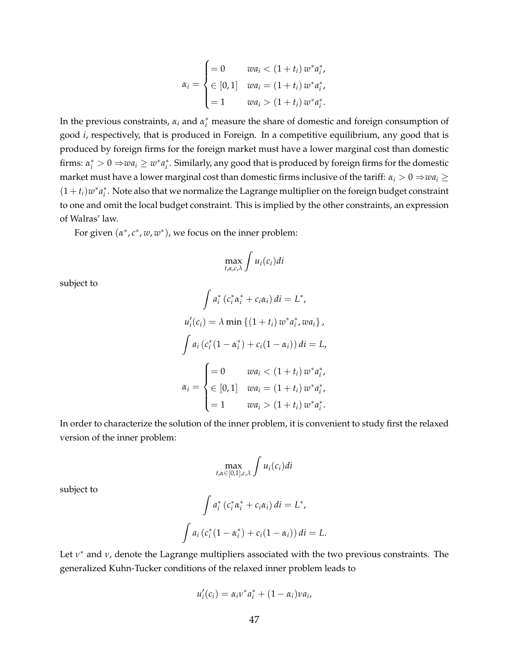$$
\alpha_{i} = \begin{cases}\n= 0 & wa_{i} < (1 + t_{i}) w^* a_{i}^*, \\
\in [0, 1] & wa_{i} = (1 + t_{i}) w^* a_{i}^*, \\
= 1 & wa_{i} > (1 + t_{i}) w^* a_{i}^*.\n\end{cases}
$$

In the previous constraints,  $\alpha_i$  and  $\alpha_i^*$  measure the share of domestic and foreign consumption of good *i*, respectively, that is produced in Foreign. In a competitive equilibrium, any good that is produced by foreign firms for the foreign market must have a lower marginal cost than domestic firms:  $\alpha_i^* > 0 \Rightarrow w a_i \geq w^* a_i^*$ . Similarly, any good that is produced by foreign firms for the domestic market must have a lower marginal cost than domestic firms inclusive of the tariff:  $\alpha_i > 0 \Rightarrow wa_i \geq 0$  $(1+t_i)w^*a_i^*$ . Note also that we normalize the Lagrange multiplier on the foreign budget constraint to one and omit the local budget constraint. This is implied by the other constraints, an expression of Walras' law.

For given  $(\alpha^*, c^*, w, w^*)$ , we focus on the inner problem:

$$
\max_{t,\alpha,c,\lambda}\int u_i(c_i)di
$$

subject to

$$
\int a_i^* (c_i^* \alpha_i^* + c_i \alpha_i) \, di = L^*,
$$
  
\n
$$
u'_i(c_i) = \lambda \min \{ (1 + t_i) \, w^* a_i^*, w a_i \},
$$
  
\n
$$
\int a_i (c_i^* (1 - \alpha_i^*) + c_i (1 - \alpha_i)) \, di = L,
$$
  
\n
$$
\alpha_i = \begin{cases} = 0 & w a_i < (1 + t_i) \, w^* a_i^*, \\ \in [0, 1] & w a_i = (1 + t_i) \, w^* a_i^*, \\ = 1 & w a_i > (1 + t_i) \, w^* a_i^*. \end{cases}
$$

In order to characterize the solution of the inner problem, it is convenient to study first the relaxed version of the inner problem:

$$
\max_{t,\alpha\in[0,1],c,\lambda}\int u_i(c_i)di
$$

subject to

$$
\int a_i^* (c_i^* \alpha_i^* + c_i \alpha_i) di = L^*,
$$

$$
\int a_i (c_i^* (1 - \alpha_i^*) + c_i (1 - \alpha_i)) di = L.
$$

Let *ν* <sup>∗</sup> and *ν*, denote the Lagrange multipliers associated with the two previous constraints. The generalized Kuhn-Tucker conditions of the relaxed inner problem leads to

$$
u_i'(c_i) = \alpha_i v^* a_i^* + (1 - \alpha_i) v a_i,
$$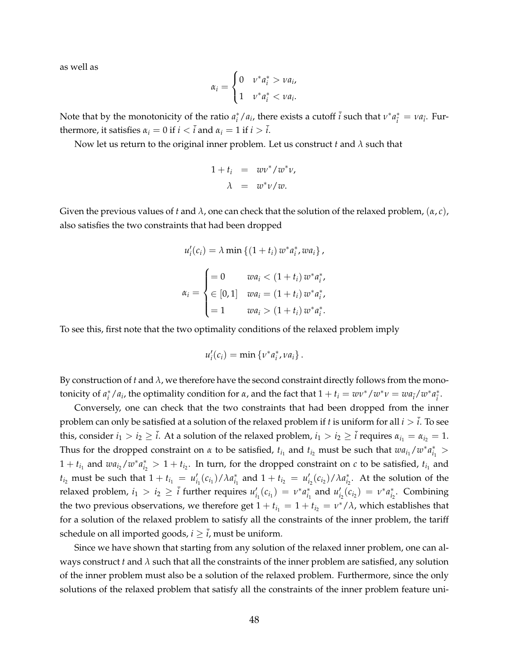as well as

$$
\alpha_i = \begin{cases} 0 & v^* a_i^* > v a_i, \\ 1 & v^* a_i^* < v a_i. \end{cases}
$$

Note that by the monotonicity of the ratio  $a_i^*/a_i$ , there exists a cutoff  $\bar{i}$  such that  $v^*a_{\bar{i}}^* = va_{\bar{i}}$ . Furthermore, it satisfies  $\alpha_i = 0$  if  $i < \overline{i}$  and  $\alpha_i = 1$  if  $i > \overline{i}$ .

Now let us return to the original inner problem. Let us construct  $t$  and  $\lambda$  such that

$$
1 + t_i = wv^*/w^*v,
$$
  

$$
\lambda = w^*v/w.
$$

Given the previous values of *t* and  $\lambda$ , one can check that the solution of the relaxed problem,  $(\alpha, c)$ , also satisfies the two constraints that had been dropped

$$
u'_{i}(c_{i}) = \lambda \min \left\{ (1+t_{i}) w^{*} a_{i}^{*}, w a_{i} \right\},
$$

$$
\alpha_{i} = \begin{cases} = 0 & w a_{i} < (1+t_{i}) w^{*} a_{i}^{*}, \\ \in [0,1] & w a_{i} = (1+t_{i}) w^{*} a_{i}^{*}, \\ = 1 & w a_{i} > (1+t_{i}) w^{*} a_{i}^{*}.\end{cases}
$$

To see this, first note that the two optimality conditions of the relaxed problem imply

$$
u'_i(c_i) = \min \left\{ v^* a_i^*, v a_i \right\}.
$$

By construction of *t* and *λ*, we therefore have the second constraint directly follows from the mono*t* onicity of  $a_i^*/a_i$ , the optimality condition for *α*, and the fact that  $1 + t_i = wv^*/w^*v = wa_i/w^*a_i^*$ .

Conversely, one can check that the two constraints that had been dropped from the inner problem can only be satisfied at a solution of the relaxed problem if *t* is uniform for all  $i > \overline{i}$ . To see this, consider  $i_1 > i_2 \geq \overline{i}$ . At a solution of the relaxed problem,  $i_1 > i_2 \geq \overline{i}$  requires  $\alpha_{i_1} = \alpha_{i_2} = 1$ . Thus for the dropped constraint on *α* to be satisfied,  $t_{i_1}$  and  $t_{i_2}$  must be such that  $wa_{i_1}/w^*a_{i_1}^*$  >  $1 + t_{i_1}$  and  $wa_{i_2}/w^* a_{i_2}^* > 1 + t_{i_2}$ . In turn, for the dropped constraint on *c* to be satisfied,  $t_{i_1}$  and  $t_{i_2}$  must be such that  $1+t_{i_1} = u'_{i_1}(c_{i_1})/\lambda a_{i_1}^*$  and  $1+t_{i_2} = u'_{i_2}(c_{i_2})/\lambda a_{i_2}^*$ . At the solution of the relaxed problem,  $i_1 > i_2 \ge \overline{i}$  further requires  $u'_{i_1}(c_{i_1}) = v^* a_{i_1}^*$  and  $u'_{i_2}(c_{i_2}) = v^* a_{i_2}^*$ . Combining the two previous observations, we therefore get  $1 + t_{i_1} = 1 + t_{i_2} = v^* / \lambda$ , which establishes that for a solution of the relaxed problem to satisfy all the constraints of the inner problem, the tariff schedule on all imported goods,  $i \geq \overline{i}$ , must be uniform.

Since we have shown that starting from any solution of the relaxed inner problem, one can always construct *t* and *λ* such that all the constraints of the inner problem are satisfied, any solution of the inner problem must also be a solution of the relaxed problem. Furthermore, since the only solutions of the relaxed problem that satisfy all the constraints of the inner problem feature uni